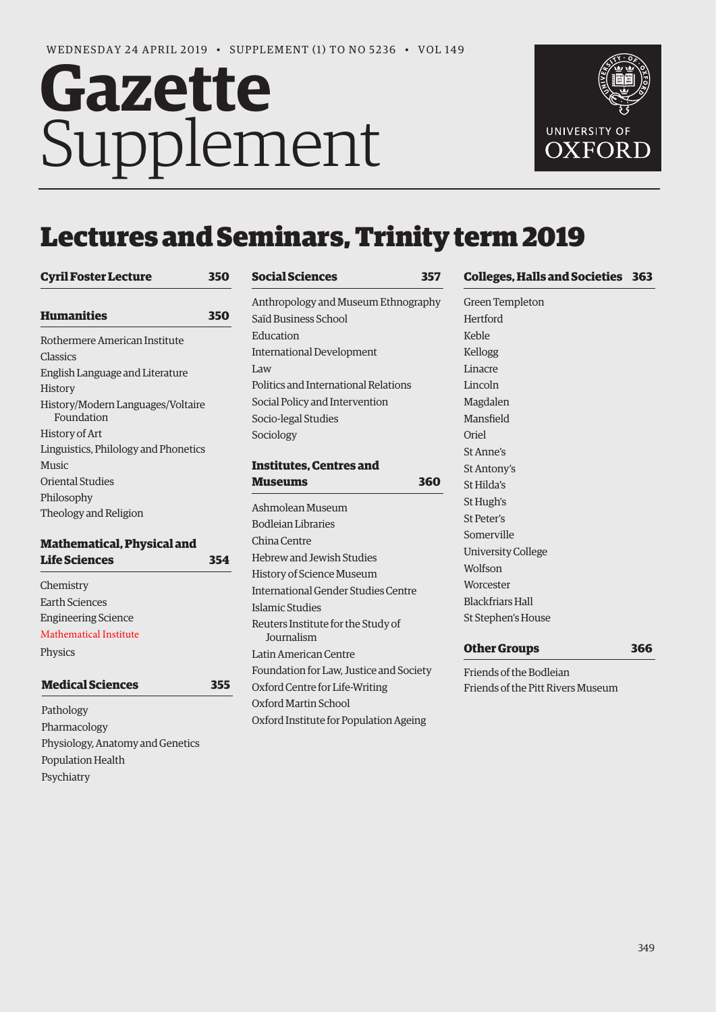# Gazette Supplement



# Lectures and Seminars, Trinity term 2019

**[S](#page-8-0)ocial Sciences 357**

# **[Cyril Foster Lecture 350](#page-1-0) [H](#page-1-0)umanitie[s](#page-1-0) 350** Rothermere American Institute Classics English Language and Literature History History/Modern Languages/Voltaire Foundation History of Art Linguistics, Philology and Phonetics Music Oriental Studies Philosophy Theology and Religion

# **[M](#page-5-0)athematical, Physical and Life Sciences 354**

| -------------              |   |
|----------------------------|---|
| Chemistry                  |   |
| Earth Sciences             |   |
| <b>Engineering Science</b> |   |
| Mathematical Institute     |   |
| Physics                    |   |
| <b>Medical Sciences</b>    | 5 |
| Pathology                  |   |

Pathology Pharmacology Physiology, Anatomy and Genetics Population Health Psychiatry

| social sciences                                         | וככ |
|---------------------------------------------------------|-----|
| Anthropology and Museum Ethnography                     |     |
| Saïd Business School                                    |     |
| Education                                               |     |
| <b>International Development</b>                        |     |
| Law                                                     |     |
| Politics and International Relations                    |     |
| Social Policy and Intervention                          |     |
| Socio-legal Studies                                     |     |
| Sociology                                               |     |
|                                                         |     |
| <b>Institutes, Centres and</b>                          |     |
| Museums                                                 | 360 |
| Ashmolean Museum                                        |     |
| <b>Bodleian Libraries</b>                               |     |
| China Centre                                            |     |
| <b>Hebrew and Jewish Studies</b>                        |     |
| History of Science Museum                               |     |
| <b>International Gender Studies Centre</b>              |     |
| Islamic Studies                                         |     |
| Reuters Institute for the Study of<br><b>Iournalism</b> |     |
| Latin American Centre                                   |     |
| Foundation for Law, Justice and Society                 |     |
| Oxford Centre for Life-Writing                          |     |
| Oxford Martin School                                    |     |
| Oxford Institute for Population Ageing                  |     |
|                                                         |     |

# **[C](#page-14-0)olleges, Hall[s and Societies 363](#page-14-0)**

Green Templeton Hertford Keble Kellogg Linacre Lincoln Magdalen Mansfield Oriel St Anne's St Antony's St Hilda's St Hugh's St Peter's Somerville University College Wolfson Worcester Blackfriars Hall St Stephen's House

# **[O](#page-17-0)ther Groups 366**

Friends of the Bodleian Friends of the Pitt Rivers Museum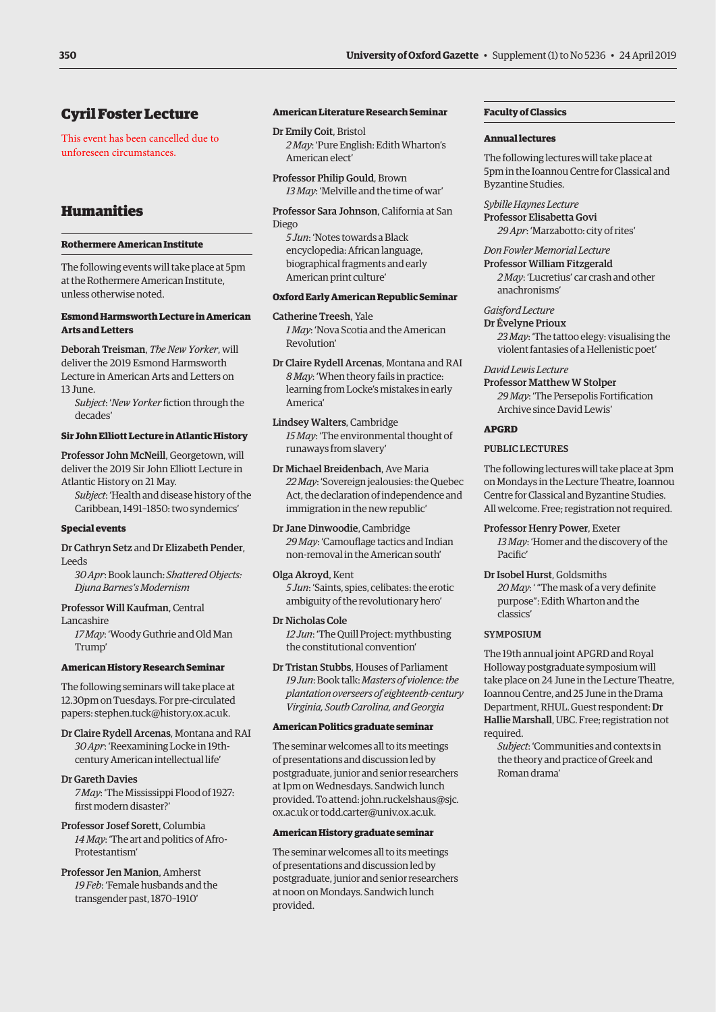# <span id="page-1-0"></span>Cyril Foster Lecture

This event has been cancelled due to unforeseen circumstances.

# Humanities

# **Rothermere American Institute**

The following events will take place at 5pm at the Rothermere American Institute, unless otherwise noted.

# **Esmond Harmsworth Lecture in American Arts and Letters**

Deborah Treisman, *The New Yorker*, will deliver the 2019 Esmond Harmsworth Lecture in American Arts and Letters on 13 June.

*Subject*: '*New Yorker* fiction through the decades'

### **Sir John Elliott Lecture in Atlantic History**

Professor John McNeill, Georgetown, will deliver the 2019 Sir John Elliott Lecture in Atlantic History on 21 May.

*Subject*: 'Health and disease history of the Caribbean, 1491–1850: two syndemics'

### **Special events**

### Dr Cathryn Setz and Dr Elizabeth Pender, Leeds

*30 Apr*: Book launch: *Shattered Objects: Djuna Barnes's Modernism*

Professor Will Kaufman, Central Lancashire

*17 May*: 'Woody Guthrie and Old Man Trump'

### **American History Research Seminar**

The following seminars will take place at 12.30pm on Tuesdays. For pre-circulated papers: [stephen.tuck@history.ox.ac.uk.](mailto:stephen.tuck@history.ox.ac.uk)

Dr Claire Rydell Arcenas, Montana and RAI *30 Apr*: 'Reexamining Locke in 19thcentury American intellectual life'

### Dr Gareth Davies

*7 May*: 'The Mississippi Flood of 1927: first modern disaster?'

- Professor Josef Sorett, Columbia *14 May*: 'The art and politics of Afro-Protestantism'
- Professor Jen Manion, Amherst *19 Feb*: 'Female husbands and the transgender past, 1870–1910'

### **American Literature Research Seminar**

- Dr Emily Coit, Bristol *2 May*: 'Pure English: Edith Wharton's American elect'
- Professor Philip Gould, Brown *13 May*: 'Melville and the time of war'
- Professor Sara Johnson, California at San Diego

*5 Jun*: 'Notes towards a Black encyclopedia: African language, biographical fragments and early American print culture'

# **Oxford Early American Republic Seminar**

Catherine Treesh, Yale *1 May*: 'Nova Scotia and the American Revolution'

Dr Claire Rydell Arcenas, Montana and RAI *8 May*: 'When theory fails in practice: learning from Locke's mistakes in early America'

Lindsey Walters, Cambridge *15 May*: 'The environmental thought of runaways from slavery'

Dr Michael Breidenbach, Ave Maria *22 May*: 'Sovereign jealousies: the Quebec Act, the declaration of independence and immigration in the new republic'

Dr Jane Dinwoodie, Cambridge *29 May*: 'Camouflage tactics and Indian non-removal in the American south'

- Olga Akroyd, Kent *5 Jun*: 'Saints, spies, celibates: the erotic ambiguity of the revolutionary hero'
- Dr Nicholas Cole *12 Jun*: 'The Quill Project: mythbusting the constitutional convention'
- Dr Tristan Stubbs, Houses of Parliament *19 Jun*: Book talk: *Masters of violence: the plantation overseers of eighteenth-century Virginia, South Carolina, and Georgia*

### **American Politics graduate seminar**

The seminar welcomes all to its meetings of presentations and discussion led by postgraduate, junior and senior researchers at 1pm on Wednesdays. Sandwich lunch provided. To attend: [john.ruckelshaus@sjc.](mailto:john.ruckelshaus@sjc.ox.ac.uk) [ox.ac.uk](mailto:john.ruckelshaus@sjc.ox.ac.uk) or [todd.carter@univ.ox.ac.uk.](mailto:todd.carter@univ.ox.ac.uk)

### **American History graduate seminar**

The seminar welcomes all to its meetings of presentations and discussion led by postgraduate, junior and senior researchers at noon on Mondays. Sandwich lunch provided.

# **Faculty of Classics**

### **Annual lectures**

The following lectures will take place at 5pm in the Ioannou Centre for Classical and Byzantine Studies.

*Sybille Haynes Lecture* Professor Elisabetta Govi *29 Apr*: 'Marzabotto: city of rites'

### *Don Fowler Memorial Lecture*

Professor William Fitzgerald *2 May*: 'Lucretius' car crash and other anachronisms'

# *Gaisford Lecture*

Dr Évelyne Prioux *23 May*: 'The tattoo elegy: visualising the violent fantasies of a Hellenistic poet'

### *David Lewis Lecture*

Professor Matthew W Stolper *29 May*: 'The Persepolis Fortification Archive since David Lewis'

### **APGRD**

### PUBLIC LECTURES

The following lectures will take place at 3pm on Mondays in the Lecture Theatre, Ioannou Centre for Classical and Byzantine Studies. All welcome. Free; registration not required.

Professor Henry Power, Exeter

*13 May*: 'Homer and the discovery of the Pacific'

Dr Isobel Hurst, Goldsmiths

*20 May*: ' "The mask of a very definite purpose": Edith Wharton and the classics'

### SYMPOSIUM

The 19th annual joint APGRD and Royal Holloway postgraduate symposium will take place on 24 June in the Lecture Theatre, Ioannou Centre, and 25 June in the Drama Department, RHUL. Guest respondent: Dr Hallie Marshall, UBC. Free; registration not required.

*Subject*: 'Communities and contexts in the theory and practice of Greek and Roman drama'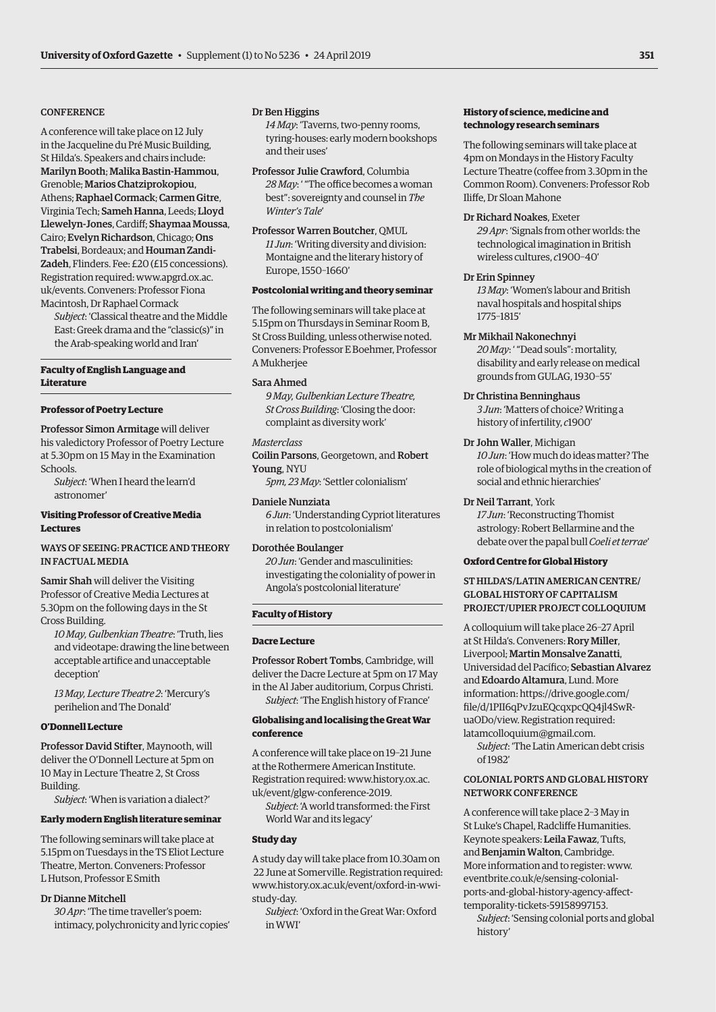### **CONFERENCE**

A conference will take place on 12 July in the Jacqueline du Pré Music Building, St Hilda's. Speakers and chairs include: Marilyn Booth; Malika Bastin-Hammou, Grenoble; Marios Chatziprokopiou, Athens; Raphael Cormack; Carmen Gitre, Virginia Tech; Sameh Hanna, Leeds; Lloyd Llewelyn-Jones, Cardiff; Shaymaa Moussa, Cairo; Evelyn Richardson, Chicago; Ons Trabelsi, Bordeaux; and Houman Zandi-Zadeh, Flinders. Fee: £20 (£15 concessions). Registration required: [www.apgrd.ox.ac.](http://www.apgrd.ox.ac.uk/events) [uk/events.](http://www.apgrd.ox.ac.uk/events) Conveners: Professor Fiona Macintosh, Dr Raphael Cormack

*Subject*: 'Classical theatre and the Middle East: Greek drama and the "classic(s)" in the Arab-speaking world and Iran'

### **Faculty of English Language and Literature**

### **Professor of Poetry Lecture**

Professor Simon Armitage will deliver his valedictory Professor of Poetry Lecture at 5.30pm on 15 May in the Examination Schools.

*Subject*: 'When I heard the learn'd astronomer'

### **Visiting Professor of Creative Media Lectures**

# WAYS OF SEEING: PRACTICE AND THEORY IN FACTUAL MEDIA

Samir Shah will deliver the Visiting Professor of Creative Media Lectures at 5.30pm on the following days in the St Cross Building.

*10 May, Gulbenkian Theatre*: 'Truth, lies and videotape: drawing the line between acceptable artifice and unacceptable deception'

*13 May, Lecture Theatre 2*: 'Mercury's perihelion and The Donald'

### **O'Donnell Lecture**

Professor David Stifter, Maynooth, will deliver the O'Donnell Lecture at 5pm on 10 May in Lecture Theatre 2, St Cross Building.

*Subject*: 'When is variation a dialect?'

### **Early modern English literature seminar**

The following seminars will take place at 5.15pm on Tuesdays in the TS Eliot Lecture Theatre, Merton. Conveners: Professor L Hutson, Professor E Smith

### Dr Dianne Mitchell

*30 Apr*: 'The time traveller's poem: intimacy, polychronicity and lyric copies'

# Dr Ben Higgins

*14 May*: 'Taverns, two-penny rooms, tyring-houses: early modern bookshops and their uses'

Professor Julie Crawford, Columbia *28 May*: ' "The office becomes a woman best": sovereignty and counsel in *The Winter's Tale*'

Professor Warren Boutcher, QMUL *11 Jun*: 'Writing diversity and division: Montaigne and the literary history of Europe, 1550–1660'

# **Postcolonial writing and theory seminar**

The following seminars will take place at 5.15pm on Thursdays in Seminar Room B, St Cross Building, unless otherwise noted. Conveners: Professor E Boehmer, Professor A Mukherjee

### Sara Ahmed

*9 May, Gulbenkian Lecture Theatre, St Cross Building*: 'Closing the door: complaint as diversity work'

### *Masterclass*

Coilin Parsons, Georgetown, and Robert Young, NYU

*5pm, 23 May*: 'Settler colonialism'

Daniele Nunziata *6 Jun*: 'Understanding Cypriot literatures in relation to postcolonialism'

# Dorothée Boulanger

*20 Jun*: 'Gender and masculinities: investigating the coloniality of power in Angola's postcolonial literature'

# **Faculty of History**

### **Dacre Lecture**

Professor Robert Tombs, Cambridge, will deliver the Dacre Lecture at 5pm on 17 May in the Al Jaber auditorium, Corpus Christi. *Subject*: 'The English history of France'

### **Globalising and localising the Great War conference**

A conference will take place on 19–21 June at the Rothermere American Institute. Registration required: [www.history.ox.ac.](http://www.history.ox.ac.uk/event/glgw-conference-2019) [uk/event/glgw-conference-2019.](http://www.history.ox.ac.uk/event/glgw-conference-2019)

*Subject*: 'A world transformed: the First World War and its legacy'

# **Study day**

A study day will take place from 10.30am on 22 June at Somerville. Registration required: [www.history.ox.ac.uk/event/oxford-in-wwi](http://www.history.ox.ac.uk/event/oxford-in-wwi-study-day)[study-day.](http://www.history.ox.ac.uk/event/oxford-in-wwi-study-day)

*Subject*: 'Oxford in the Great War: Oxford in WWI'

# **History of science, medicine and technology research seminars**

The following seminars will take place at 4pm on Mondays in the History Faculty Lecture Theatre (coffee from 3.30pm in the Common Room). Conveners: Professor Rob Iliffe, Dr Sloan Mahone

### Dr Richard Noakes, Exeter

*29 Apr*: 'Signals from other worlds: the technological imagination in British wireless cultures, *c*1900–40'

### Dr Erin Spinney

*13 May*: 'Women's labour and British naval hospitals and hospital ships 1775–1815'

### Mr Mikhail Nakonechnyi

*20 May*: ' "Dead souls": mortality, disability and early release on medical grounds from GULAG, 1930–55'

### Dr Christina Benninghaus

*3 Jun*: 'Matters of choice? Writing a history of infertility, *c*1900'

# Dr John Waller, Michigan

*10 Jun*: 'How much do ideas matter? The role of biological myths in the creation of social and ethnic hierarchies'

### Dr Neil Tarrant, York

*17 Jun*: 'Reconstructing Thomist astrology: Robert Bellarmine and the debate over the papal bull *Coeli et terrae*'

### **Oxford Centre for Global History**

### ST HILDA'S/LATIN AMERICAN CENTRE/ GLOBAL HISTORY OF CAPITALISM PROJECT/UPIER PROJECT COLLOQUIUM

A colloquium will take place 26–27 April at St Hilda's. Conveners: Rory Miller, Liverpool; Martin Monsalve Zanatti, Universidad del Pacífico; Sebastian Alvarez and Edoardo Altamura, Lund. More information: [https://drive.google.com/](https://drive.google.com/file/d/1PII6qPvJzuEQcqxpcQQ4jl4SwR-uaODo/view) [file/d/1PII6qPvJzuEQcqxpcQQ4jl4SwR](https://drive.google.com/file/d/1PII6qPvJzuEQcqxpcQQ4jl4SwR-uaODo/view)[uaODo/view.](https://drive.google.com/file/d/1PII6qPvJzuEQcqxpcQQ4jl4SwR-uaODo/view) Registration required: [latamcolloquium@gmail.com.](mailto:latamcolloquium@gmail.com)

*Subject*: 'The Latin American debt crisis of 1982'

# COLONIAL PORTS AND GLOBAL HISTORY NETWORK CONFERENCE

A conference will take place 2–3 May in St Luke's Chapel, Radcliffe Humanities. Keynote speakers: Leila Fawaz, Tufts, and Benjamin Walton, Cambridge. More information and to register: [www.](http://www.eventbrite.co.uk/e/sensing-colonial-ports-and-global-history-agency-affect-temporality-tickets-59158997153) [eventbrite.co.uk/e/sensing-colonial](http://www.eventbrite.co.uk/e/sensing-colonial-ports-and-global-history-agency-affect-temporality-tickets-59158997153)[ports-and-global-history-agency-affect](http://www.eventbrite.co.uk/e/sensing-colonial-ports-and-global-history-agency-affect-temporality-tickets-59158997153)[temporality-tickets-59158997153.](http://www.eventbrite.co.uk/e/sensing-colonial-ports-and-global-history-agency-affect-temporality-tickets-59158997153)

*Subject*: 'Sensing colonial ports and global history'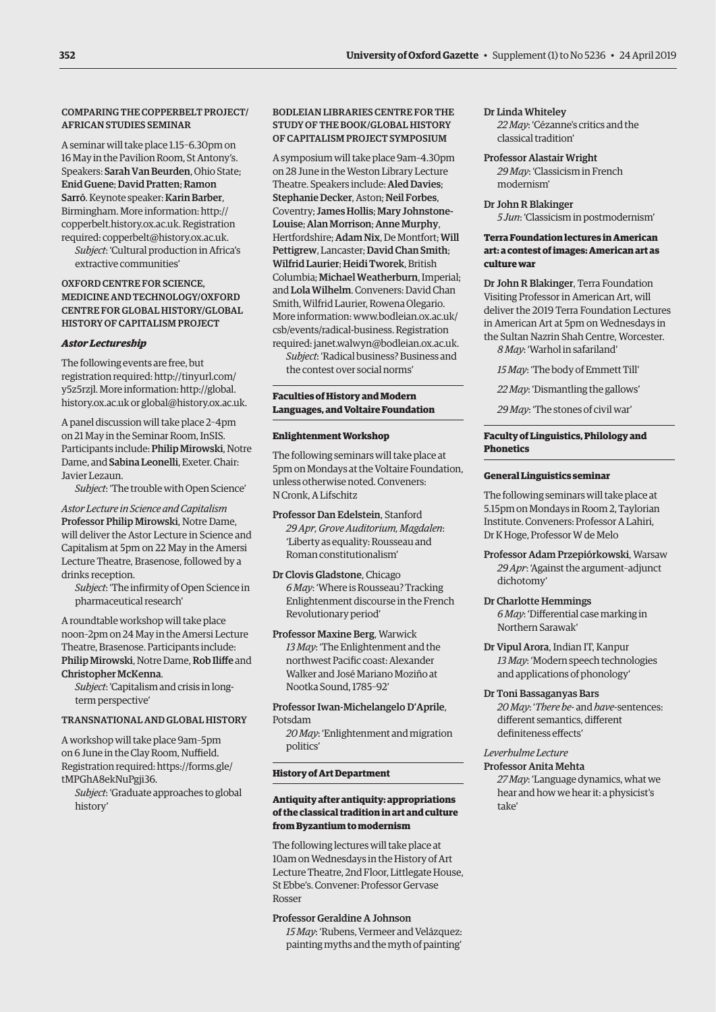# COMPARING THE COPPERBELT PROJECT/ AFRICAN STUDIES SEMINAR

A seminar will take place 1.15–6.30pm on 16 May in the Pavilion Room, St Antony's. Speakers: Sarah Van Beurden, Ohio State; Enid Guene; David Pratten; Ramon Sarró. Keynote speaker: Karin Barber, Birmingham. More information: [http://](http://copperbelt.history.ox.ac.uk) [copperbelt.history.ox.ac.uk.](http://copperbelt.history.ox.ac.uk) Registration required: [copperbelt@history.ox.ac.uk](mailto:copperbelt@history.ox.ac.uk).

*Subject*: 'Cultural production in Africa's extractive communities'

### OXFORD CENTRE FOR SCIENCE, MEDICINE AND TECHNOLOGY/OXFORD CENTRE FOR GLOBAL HISTORY/GLOBAL HISTORY OF CAPITALISM PROJECT

### *Astor Lectureship*

The following events are free, but registration required: [http://tinyurl.com/](http://tinyurl.com/y5z5rzjl) [y5z5rzjl.](http://tinyurl.com/y5z5rzjl) More information: [http://global.](http://global.history.ox.ac.uk) [history.ox.ac.uk](http://global.history.ox.ac.uk) or [global@history.ox.ac.uk.](mailto:global@history.ox.ac.uk)

A panel discussion will take place 2–4pm on 21 May in the Seminar Room, InSIS. Participants include: Philip Mirowski, Notre Dame, and Sabina Leonelli, Exeter. Chair: Javier Lezaun.

*Subject*: 'The trouble with Open Science'

*Astor Lecture in Science and Capitalism*  Professor Philip Mirowski, Notre Dame, will deliver the Astor Lecture in Science and Capitalism at 5pm on 22 May in the Amersi Lecture Theatre, Brasenose, followed by a drinks reception.

*Subject*: 'The infirmity of Open Science in pharmaceutical research'

A roundtable workshop will take place noon–2pm on 24 May in the Amersi Lecture Theatre, Brasenose. Participants include: Philip Mirowski, Notre Dame, Rob Iliffe and Christopher McKenna.

*Subject*: 'Capitalism and crisis in longterm perspective'

### TRANSNATIONAL AND GLOBAL HISTORY

A workshop will take place 9am–5pm on 6 June in the Clay Room, Nuffield. Registration required: [https://forms.gle/](https://forms.gle/tMPGhA8ekNuPgji36) [tMPGhA8ekNuPgji36.](https://forms.gle/tMPGhA8ekNuPgji36)

*Subject*: 'Graduate approaches to global history'

### BODLEIAN LIBRARIES CENTRE FOR THE STUDY OF THE BOOK/GLOBAL HISTORY OF CAPITALISM PROJECT SYMPOSIUM

A symposium will take place 9am–4.30pm on 28 June in the Weston Library Lecture Theatre. Speakers include: Aled Davies; Stephanie Decker, Aston; Neil Forbes, Coventry; James Hollis; Mary Johnstone-Louise; Alan Morrison; Anne Murphy, Hertfordshire; Adam Nix, De Montfort; Will Pettigrew, Lancaster; David Chan Smith; Wilfrid Laurier; Heidi Tworek, British Columbia; Michael Weatherburn, Imperial; and Lola Wilhelm. Conveners: David Chan Smith, Wilfrid Laurier, Rowena Olegario. More information: [www.bodleian.ox.ac.uk/](http://www.bodleian.ox.ac.uk/csb/events/radical-business) [csb/events/radical-business.](http://www.bodleian.ox.ac.uk/csb/events/radical-business) Registration required: [janet.walwyn@bodleian.ox.ac.uk.](mailto:janet.walwyn@bodleian.ox.ac.uk)

*Subject*: 'Radical business? Business and the contest over social norms'

### **Faculties of History and Modern Languages, and Voltaire Foundation**

### **Enlightenment Workshop**

The following seminars will take place at 5pm on Mondays at the Voltaire Foundation, unless otherwise noted. Conveners: N Cronk, A Lifschitz

Professor Dan Edelstein, Stanford *29 Apr, Grove Auditorium, Magdalen*: 'Liberty as equality: Rousseau and Roman constitutionalism'

Dr Clovis Gladstone, Chicago *6 May*: 'Where is Rousseau? Tracking Enlightenment discourse in the French Revolutionary period'

Professor Maxine Berg, Warwick *13 May*: 'The Enlightenment and the northwest Pacific coast: Alexander Walker and José Mariano Moziño at Nootka Sound, 1785–92'

Professor Iwan-Michelangelo D'Aprile, Potsdam

*20 May*: 'Enlightenment and migration politics'

### **History of Art Department**

### **Antiquity after antiquity: appropriations of the classical tradition in art and culture from Byzantium to modernism**

The following lectures will take place at 10am on Wednesdays in the History of Art Lecture Theatre, 2nd Floor, Littlegate House, St Ebbe's. Convener: Professor Gervase Rosser

# Professor Geraldine A Johnson

*15 May*: 'Rubens, Vermeer and Velázquez: painting myths and the myth of painting'

### Dr Linda Whiteley

*22 May*: 'Cézanne's critics and the classical tradition'

### Professor Alastair Wright

*29 May*: 'Classicism in French modernism'

### Dr John R Blakinger

*5 Jun*: 'Classicism in postmodernism'

### **Terra Foundation lectures in American art: a contest of images: American art as culture war**

Dr John R Blakinger, Terra Foundation Visiting Professor in American Art, will deliver the 2019 Terra Foundation Lectures in American Art at 5pm on Wednesdays in the Sultan Nazrin Shah Centre, Worcester. *8 May*: 'Warhol in safariland'

*15 May*: 'The body of Emmett Till'

- *22 May*: 'Dismantling the gallows'
- *29 May*: 'The stones of civil war'

### **Faculty of Linguistics, Philology and Phonetics**

### **General Linguistics seminar**

The following seminars will take place at 5.15pm on Mondays in Room 2, Taylorian Institute. Conveners: Professor A Lahiri, Dr K Hoge, Professor W de Melo

- Professor Adam Przepiórkowski, Warsaw *29 Apr*: 'Against the argument–adjunct dichotomy'
- Dr Charlotte Hemmings *6 May*: 'Differential case marking in Northern Sarawak'
- Dr Vipul Arora, Indian IT, Kanpur *13 May*: 'Modern speech technologies and applications of phonology'

### Dr Toni Bassaganyas Bars

*20 May*: '*There be*- and *have*-sentences: different semantics, different definiteness effects'

# *Leverhulme Lecture*

### Professor Anita Mehta

*27 May*: 'Language dynamics, what we hear and how we hear it: a physicist's take'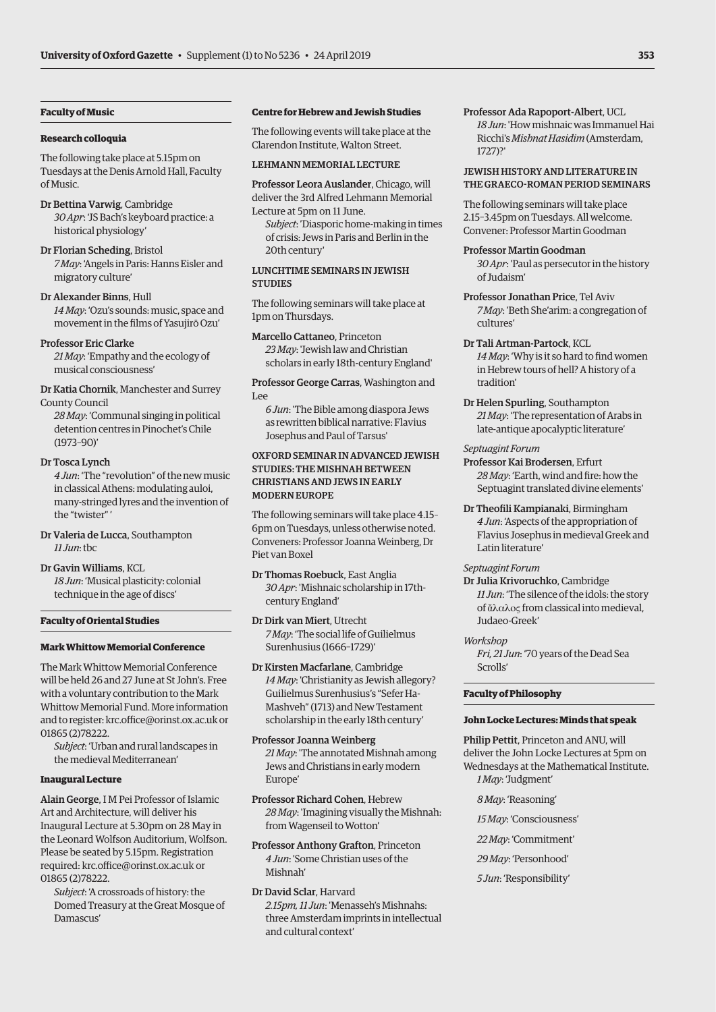### **Faculty of Music**

### **Research colloquia**

The following take place at 5.15pm on Tuesdays at the Denis Arnold Hall, Faculty of Music.

- Dr Bettina Varwig, Cambridge *30 Apr*: 'JS Bach's keyboard practice: a historical physiology'
- Dr Florian Scheding, Bristol *7 May*: 'Angels in Paris: Hanns Eisler and migratory culture'
- Dr Alexander Binns, Hull *14 May*: 'Ozu's sounds: music, space and movement in the films of Yasujirō Ozu'
- Professor Eric Clarke

*21 May*: 'Empathy and the ecology of musical consciousness'

- Dr Katia Chornik, Manchester and Surrey County Council
	- *28 May*: 'Communal singing in political detention centres in Pinochet's Chile (1973–90)'

### Dr Tosca Lynch

*4 Jun*: 'The "revolution" of the new music in classical Athens: modulating auloi, many-stringed lyres and the invention of the "twister" '

Dr Valeria de Lucca, Southampton *11 Jun*: tbc

Dr Gavin Williams, KCL *18 Jun*: 'Musical plasticity: colonial technique in the age of discs'

### **Faculty of Oriental Studies**

### **Mark Whittow Memorial Conference**

The Mark Whittow Memorial Conference will be held 26 and 27 June at St John's. Free with a voluntary contribution to the Mark Whittow Memorial Fund. More information and to register: [krc.office@orinst.ox.ac.uk](mailto:krc.office@orinst.ox.ac.uk) or 01865 (2)78222.

*Subject*: 'Urban and rural landscapes in the medieval Mediterranean'

### **Inaugural Lecture**

Alain George, I M Pei Professor of Islamic Art and Architecture, will deliver his Inaugural Lecture at 5.30pm on 28 May in the Leonard Wolfson Auditorium, Wolfson. Please be seated by 5.15pm. Registration required: [krc.office@orinst.ox.ac.uk](mailto:krc.office@orinst.ox.ac.uk) or 01865 (2)78222.

*Subject*: 'A crossroads of history: the Domed Treasury at the Great Mosque of Damascus'

### **Centre for Hebrew and Jewish Studies**

The following events will take place at the Clarendon Institute, Walton Street.

### LEHMANN MEMORIAL LECTURE

Professor Leora Auslander, Chicago, will deliver the 3rd Alfred Lehmann Memorial Lecture at 5pm on 11 June.

*Subject*: 'Diasporic home-making in times of crisis: Jews in Paris and Berlin in the 20th century'

# LUNCHTIME SEMINARS IN JEWISH **STUDIES**

The following seminars will take place at 1pm on Thursdays.

Marcello Cattaneo, Princeton *23 May*: 'Jewish law and Christian scholars in early 18th-century England'

Professor George Carras, Washington and Lee

*6 Jun*: 'The Bible among diaspora Jews as rewritten biblical narrative: Flavius Josephus and Paul of Tarsus'

# OXFORD SEMINAR IN ADVANCED JEWISH STUDIES: THE MISHNAH BETWEEN CHRISTIANS AND JEWS IN EARLY MODERN EUROPE

The following seminars will take place 4.15– 6pm on Tuesdays, unless otherwise noted. Conveners: Professor Joanna Weinberg, Dr Piet van Boxel

- Dr Thomas Roebuck, East Anglia *30 Apr*: 'Mishnaic scholarship in 17thcentury England'
- Dr Dirk van Miert, Utrecht *7 May*: 'The social life of Guilielmus Surenhusius (1666–1729)'
- Dr Kirsten Macfarlane, Cambridge *14 May*: 'Christianity as Jewish allegory? Guilielmus Surenhusius's "Sefer Ha-Mashveh" (1713) and New Testament scholarship in the early 18th century'
- Professor Joanna Weinberg *21 May*: 'The annotated Mishnah among Jews and Christians in early modern Europe'
- Professor Richard Cohen, Hebrew *28 May*: 'Imagining visually the Mishnah: from Wagenseil to Wotton'

Professor Anthony Grafton, Princeton *4 Jun*: 'Some Christian uses of the Mishnah'

Dr David Sclar, Harvard *2.15pm, 11 Jun*: 'Menasseh's Mishnahs: three Amsterdam imprints in intellectual and cultural context'

### Professor Ada Rapoport-Albert, UCL *18 Jun*: 'How mishnaic was Immanuel Hai Ricchi's *Mishnat Hasidim* (Amsterdam, 1727)?'

### JEWISH HISTORY AND LITERATURE IN THE GRAECO-ROMAN PERIOD SEMINARS

The following seminars will take place 2.15–3.45pm on Tuesdays. All welcome. Convener: Professor Martin Goodman

### Professor Martin Goodman

*30 Apr*: 'Paul as persecutor in the history of Judaism'

Professor Jonathan Price, Tel Aviv *7 May*: 'Beth She'arim: a congregation of cultures'

### Dr Tali Artman-Partock, KCL

*14 May*: 'Why is it so hard to find women in Hebrew tours of hell? A history of a tradition'

Dr Helen Spurling, Southampton *21 May*: 'The representation of Arabs in late-antique apocalyptic literature'

### *Septuagint Forum*

Professor Kai Brodersen, Erfurt *28 May*: 'Earth, wind and fire: how the Septuagint translated divine elements'

Dr Theofili Kampianaki, Birmingham *4 Jun*: 'Aspects of the appropriation of Flavius Josephus in medieval Greek and Latin literature'

### *Septuagint Forum*

Dr Julia Krivoruchko, Cambridge *11 Jun*: 'The silence of the idols: the story of ἄλαλος from classical into medieval, Judaeo-Greek'

### *Workshop*

*Fri, 21 Jun*: '70 years of the Dead Sea Scrolls'

### **Faculty of Philosophy**

### **John Locke Lectures: Minds that speak**

Philip Pettit, Princeton and ANU, will deliver the John Locke Lectures at 5pm on Wednesdays at the Mathematical Institute. *1 May*: 'Judgment'

- *8 May*: 'Reasoning'
- *15 May*: 'Consciousness'
- *22 May*: 'Commitment'
- *29 May*: 'Personhood'
- *5 Jun*: 'Responsibility'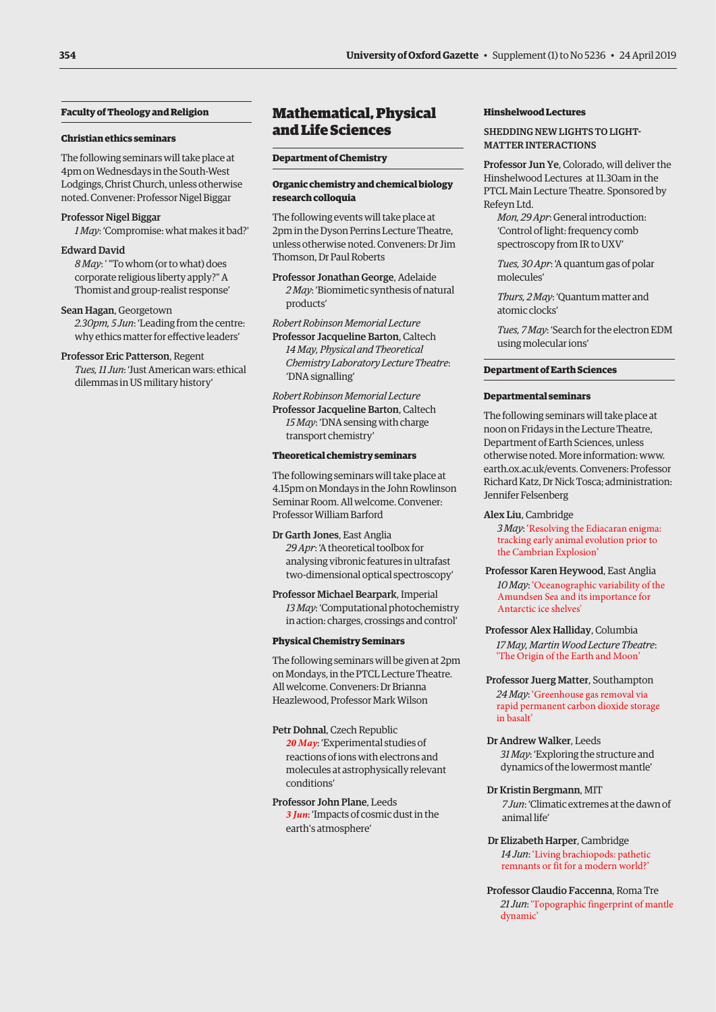# <span id="page-5-0"></span>**Faculty of Theology and Religion**

### **Christian ethics seminars**

The following seminars will take place at 4pm on Wednesdays in the South-West Lodgings, Christ Church, unless otherwise noted. Convener: Professor Nigel Biggar

# Professor Nigel Biggar

*1 May*: 'Compromise: what makes it bad?'

### Edward David

*8 May*: ' "To whom (or to what) does corporate religious liberty apply?" A Thomist and group-realist response'

### Sean Hagan, Georgetown

*2.30pm, 5 Jun*: 'Leading from the centre: why ethics matter for effective leaders'

# Professor Eric Patterson, Regent

*Tues, 11 Jun*: 'Just American wars: ethical dilemmas in US military history'

# Mathematical, Physical and Life Sciences

### **Department of Chemistry**

### **Organic chemistry and chemical biology research colloquia**

The following events will take place at 2pm in the Dyson Perrins Lecture Theatre, unless otherwise noted. Conveners: Dr Jim Thomson, Dr Paul Roberts

Professor Jonathan George, Adelaide *2 May*: 'Biomimetic synthesis of natural products'

### *Robert Robinson Memorial Lecture*

Professor Jacqueline Barton, Caltech *14 May, Physical and Theoretical Chemistry Laboratory Lecture Theatre*: 'DNA signalling'

*Robert Robinson Memorial Lecture* Professor Jacqueline Barton, Caltech *15 May*: 'DNA sensing with charge transport chemistry'

### **Theoretical chemistry seminars**

The following seminars will take place at 4.15pm on Mondays in the John Rowlinson Seminar Room. All welcome. Convener: Professor William Barford

Dr Garth Jones, East Anglia *29 Apr*: 'A theoretical toolbox for analysing vibronic features in ultrafast two-dimensional optical spectroscopy'

Professor Michael Bearpark, Imperial *13 May*: 'Computational photochemistry in action: charges, crossings and control'

### **Physical Chemistry Seminars**

The following seminars will be given at 2pm on Mondays, in the PTCL Lecture Theatre. All welcome. Conveners: Dr Brianna Heazlewood, Professor Mark Wilson

### Petr Dohnal, Czech Republic

*20 May*: 'Experimental studies of reactions of ions with electrons and molecules at astrophysically relevant conditions'

Professor John Plane, Leeds *3 Jun*: 'Impacts of cosmic dust in the earth's atmosphere'

### **Hinshelwood Lectures**

### SHEDDING NEW LIGHTS TO LIGHT-MATTER INTERACTIONS

Professor Jun Ye, Colorado, will deliver the Hinshelwood Lectures at 11.30am in the PTCL Main Lecture Theatre. Sponsored by Refeyn Ltd.

*Mon, 29 Apr*: General introduction: 'Control of light: frequency comb spectroscopy from IR to UXV'

*Tues, 30 Apr*: 'A quantum gas of polar molecules'

*Thurs, 2 May*: 'Quantum matter and atomic clocks'

*Tues, 7 May*: 'Search for the electron EDM using molecular ions'

### **Department of Earth Sciences**

### **Departmental seminars**

The following seminars will take place at noon on Fridays in the Lecture Theatre, Department of Earth Sciences, unless otherwise noted. More information: [www.](http://www.earth.ox.ac.uk/events) [earth.ox.ac.uk/events. Co](http://www.earth.ox.ac.uk/events)nveners: Professor Richard Katz, Dr Nick Tosca; administration: Jennifer Felsenberg

### Alex Liu, Cambridge

*3 May*: 'Resolving the Ediacaran enigma: tracking early animal evolution prior to the Cambrian Explosion'

### Professor Karen Heywood, East Anglia *10 May*: 'Oceanographic variability of the Amundsen Sea and its importance for Antarctic ice shelves'

# Professor Alex Halliday, Columbia

*17 May, Martin Wood Lecture Theatre*: 'The Origin of the Earth and Moon'

### Professor Juerg Matter, Southampton *24 May*: 'Greenhouse gas removal via rapid permanent carbon dioxide storage in basalt'

Dr Andrew Walker, Leeds *31 May*: 'Exploring the structure and dynamics of the lowermost mantle'

### Dr Kristin Bergmann, MIT

*7 Jun*: 'Climatic extremes at the dawn of animal life'

### Dr Elizabeth Harper, Cambridge *14 Jun*: 'Living brachiopods: pathetic remnants or fit for a modern world?'

Professor Claudio Faccenna, Roma Tre *21 Jun*: 'Topographic fingerprint of mantle dynamic'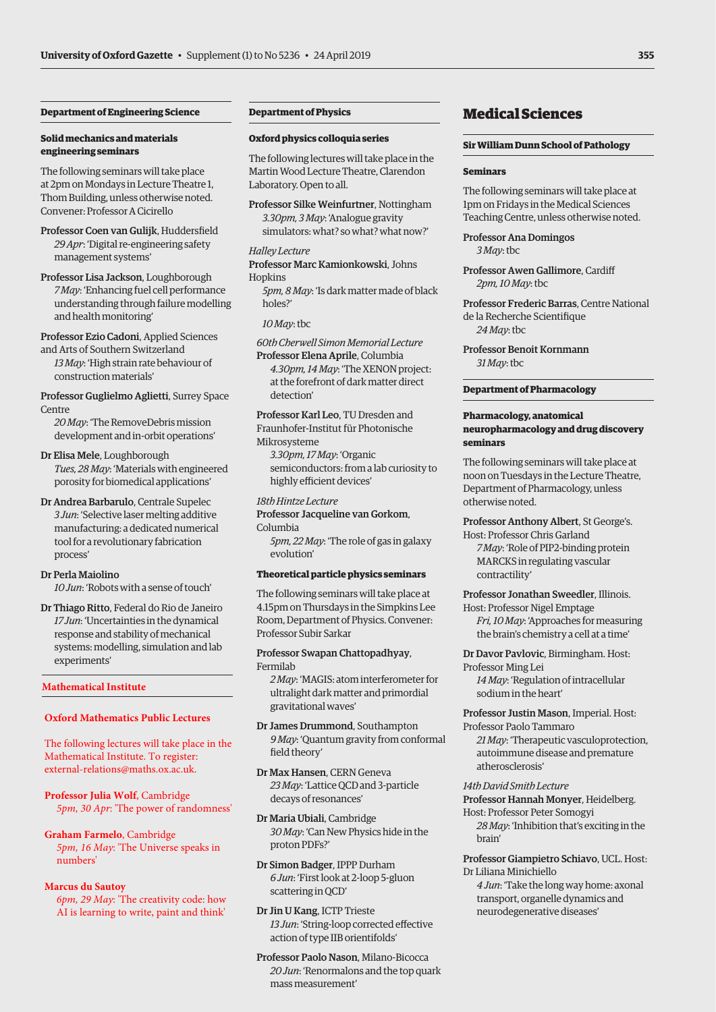# <span id="page-6-0"></span>**Department of Engineering Science**

### **Solid mechanics and materials engineering seminars**

The following seminars will take place at 2pm on Mondays in Lecture Theatre 1, Thom Building, unless otherwise noted. Convener: Professor A Cicirello

Professor Coen van Gulijk, Huddersfield *29 Apr*: 'Digital re-engineering safety management systems'

Professor Lisa Jackson, Loughborough *7 May*: 'Enhancing fuel cell performance understanding through failure modelling and health monitoring'

Professor Ezio Cadoni, Applied Sciences and Arts of Southern Switzerland

*13 May*: 'High strain rate behaviour of construction materials'

Professor Guglielmo Aglietti, Surrey Space Centre

*20 May*: 'The RemoveDebris mission development and in-orbit operations'

# Dr Elisa Mele, Loughborough *Tues, 28 May*: 'Materials with engineered porosity for biomedical applications'

Dr Andrea Barbarulo, Centrale Supelec *3 Jun*: 'Selective laser melting additive manufacturing: a dedicated numerical tool for a revolutionary fabrication process'

### Dr Perla Maiolino

*10 Jun*: 'Robots with a sense of touch'

Dr Thiago Ritto, Federal do Rio de Janeiro *17 Jun*: 'Uncertainties in the dynamical response and stability of mechanical systems: modelling, simulation and lab experiments'

### **Mathematical Institute**

### **Oxford Mathematics Public Lectures**

The following lectures will take place in the Mathematical Institute. To register: [external-relations@maths.ox.ac.uk.](external-relations@maths.ox.ac.uk)

**Professor Julia Wolf**, Cambridge *5pm, 30 Apr*: 'The power of randomness'

**Graham Farmelo**, Cambridge *5pm, 16 May*: 'The Universe speaks in numbers'

### **Marcus du Sautoy**

 *6pm, 29 May*: 'The creativity code: how AI is learning to write, paint and think'

### **Department of Physics**

### **Oxford physics colloquia series**

The following lectures will take place in the Martin Wood Lecture Theatre, Clarendon Laboratory. Open to all.

Professor Silke Weinfurtner, Nottingham *3.30pm, 3 May*: 'Analogue gravity simulators: what? so what? what now?'

*Halley Lecture* Professor Marc Kamionkowski, Johns **Hopkins** 

*5pm, 8 May*: 'Is dark matter made of black holes?'

### *10 May*: tbc

*60th Cherwell Simon Memorial Lecture*

Professor Elena Aprile, Columbia *4.30pm, 14 May*: 'The XENON project: at the forefront of dark matter direct detection'

Professor Karl Leo, TU Dresden and Fraunhofer-Institut für Photonische Mikrosysteme

*3.30pm, 17 May*: 'Organic semiconductors: from a lab curiosity to highly efficient devices'

### *18th Hintze Lecture*

Professor Jacqueline van Gorkom, Columbia

*5pm, 22 May*: 'The role of gas in galaxy evolution'

### **Theoretical particle physics seminars**

The following seminars will take place at 4.15pm on Thursdays in the Simpkins Lee Room, Department of Physics. Convener: Professor Subir Sarkar

Professor Swapan Chattopadhyay, Fermilab

*2 May*: 'MAGIS: atom interferometer for ultralight dark matter and primordial gravitational waves'

Dr James Drummond, Southampton *9 May*: 'Quantum gravity from conformal field theory'

Dr Max Hansen, CERN Geneva *23 May*: 'Lattice QCD and 3-particle decays of resonances'

Dr Maria Ubiali, Cambridge *30 May*: 'Can New Physics hide in the proton PDFs?'

Dr Simon Badger, IPPP Durham *6 Jun*: 'First look at 2-loop 5-gluon scattering in QCD'

Dr Jin U Kang, ICTP Trieste *13 Jun*: 'String-loop corrected effective action of type IIB orientifolds'

Professor Paolo Nason, Milano-Bicocca *20 Jun*: 'Renormalons and the top quark mass measurement'

# Medical Sciences

### **Sir William Dunn School of Pathology**

### **Seminars**

The following seminars will take place at 1pm on Fridays in the Medical Sciences Teaching Centre, unless otherwise noted.

Professor Ana Domingos *3 May*: tbc

Professor Awen Gallimore, Cardiff *2pm, 10 May*: tbc

Professor Frederic Barras, Centre National de la Recherche Scientifique *24 May*: tbc

Professor Benoit Kornmann *31 May*: tbc

### **Department of Pharmacology**

### **Pharmacology, anatomical neuropharmacology and drug discovery seminars**

The following seminars will take place at noon on Tuesdays in the Lecture Theatre, Department of Pharmacology, unless otherwise noted.

### Professor Anthony Albert, St George's.

Host: Professor Chris Garland *7 May*: 'Role of PIP2-binding protein MARCKS in regulating vascular contractility'

Professor Jonathan Sweedler, Illinois.

Host: Professor Nigel Emptage *Fri, 10 May*: 'Approaches for measuring the brain's chemistry a cell at a time'

### Dr Davor Pavlovic, Birmingham. Host:

Professor Ming Lei *14 May*: 'Regulation of intracellular sodium in the heart'

Professor Justin Mason, Imperial. Host: Professor Paolo Tammaro

*21 May*: 'Therapeutic vasculoprotection, autoimmune disease and premature atherosclerosis'

*14th David Smith Lecture*

Professor Hannah Monyer, Heidelberg.

Host: Professor Peter Somogyi *28 May*: 'Inhibition that's exciting in the brain'

Professor Giampietro Schiavo, UCL. Host: Dr Liliana Minichiello

*4 Jun*: 'Take the long way home: axonal transport, organelle dynamics and neurodegenerative diseases'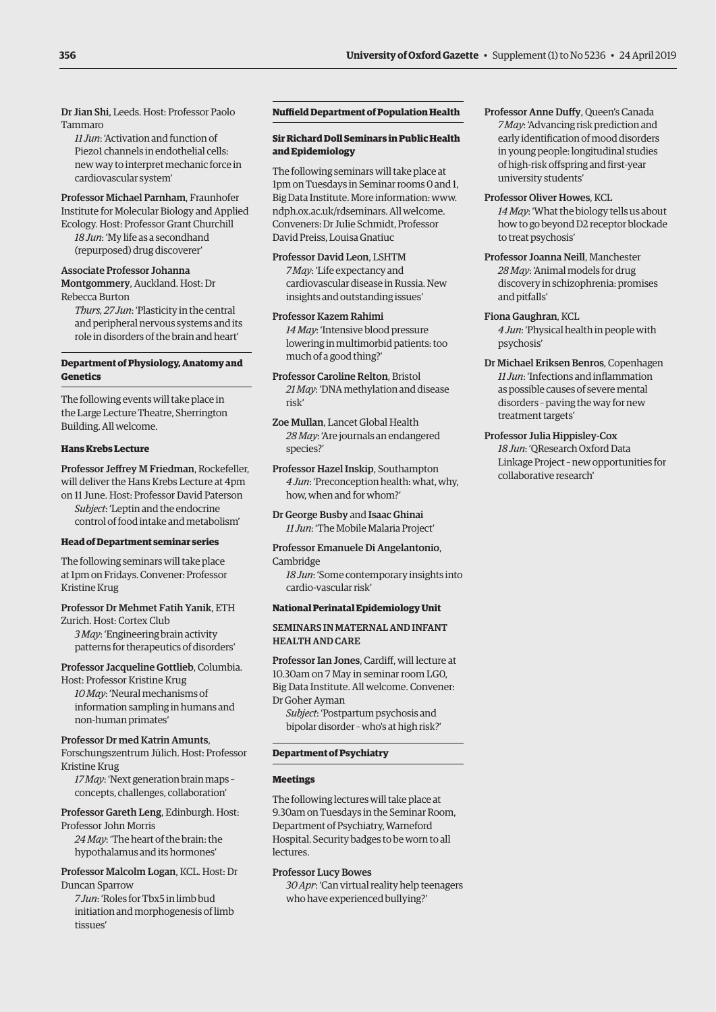Dr Jian Shi, Leeds. Host: Professor Paolo Tammaro

*11 Jun*: 'Activation and function of Piezo1 channels in endothelial cells: new way to interpret mechanic force in cardiovascular system'

Professor Michael Parnham, Fraunhofer Institute for Molecular Biology and Applied Ecology. Host: Professor Grant Churchill *18 Jun*: 'My life as a secondhand (repurposed) drug discoverer'

### Associate Professor Johanna Montgommery, Auckland. Host: Dr Rebecca Burton

*Thurs, 27 Jun*: 'Plasticity in the central and peripheral nervous systems and its role in disorders of the brain and heart'

# **Department of Physiology, Anatomy and Genetics**

The following events will take place in the Large Lecture Theatre, Sherrington Building. All welcome.

### **Hans Krebs Lecture**

Professor Jeffrey M Friedman, Rockefeller, will deliver the Hans Krebs Lecture at 4pm on 11 June. Host: Professor David Paterson *Subject*: 'Leptin and the endocrine control of food intake and metabolism'

### **Head of Department seminar series**

The following seminars will take place at 1pm on Fridays. Convener: Professor Kristine Krug

### Professor Dr Mehmet Fatih Yanik, ETH

Zurich. Host: Cortex Club *3 May*: 'Engineering brain activity patterns for therapeutics of disorders'

### Professor Jacqueline Gottlieb, Columbia.

Host: Professor Kristine Krug *10 May*: 'Neural mechanisms of information sampling in humans and non-human primates'

### Professor Dr med Katrin Amunts,

Forschungszentrum Jülich. Host: Professor Kristine Krug

*17 May*: 'Next generation brain maps – concepts, challenges, collaboration'

Professor Gareth Leng, Edinburgh. Host: Professor John Morris

*24 May*: 'The heart of the brain: the hypothalamus and its hormones'

# Professor Malcolm Logan, KCL. Host: Dr Duncan Sparrow

*7 Jun*: 'Roles for Tbx5 in limb bud initiation and morphogenesis of limb tissues'

# **Nuffield Department of Population Health**

### **Sir Richard Doll Seminars in Public Health and Epidemiology**

The following seminars will take place at 1pm on Tuesdays in Seminar rooms 0 and 1, Big Data Institute. More information: [www.](http://www.ndph.ox.ac.uk/rdseminars) [ndph.ox.ac.uk/rdseminars. Al](http://www.ndph.ox.ac.uk/rdseminars)l welcome. Conveners: Dr Julie Schmidt, Professor David Preiss, Louisa Gnatiuc

Professor David Leon, LSHTM *7 May*: 'Life expectancy and cardiovascular disease in Russia. New insights and outstanding issues'

Professor Kazem Rahimi *14 May*: 'Intensive blood pressure lowering in multimorbid patients: too much of a good thing?'

Professor Caroline Relton, Bristol *21 May*: 'DNA methylation and disease risk'

Zoe Mullan, Lancet Global Health *28 May*: 'Are journals an endangered species?'

Professor Hazel Inskip, Southampton *4 Jun*: 'Preconception health: what, why, how, when and for whom?'

Dr George Busby and Isaac Ghinai *11 Jun*: 'The Mobile Malaria Project'

### Professor Emanuele Di Angelantonio, Cambridge

*18 Jun*: 'Some contemporary insights into cardio-vascular risk'

### **National Perinatal Epidemiology Unit**

# SEMINARS IN MATERNAL AND INFANT HEALTH AND CARE

Professor Ian Jones, Cardiff, will lecture at 10.30am on 7 May in seminar room LG0, Big Data Institute. All welcome. Convener: Dr Goher Ayman

*Subject*: 'Postpartum psychosis and bipolar disorder – who's at high risk?'

### **Department of Psychiatry**

### **Meetings**

The following lectures will take place at 9.30am on Tuesdays in the Seminar Room, Department of Psychiatry, Warneford Hospital. Security badges to be worn to all lectures.

### Professor Lucy Bowes

*30 Apr*: 'Can virtual reality help teenagers who have experienced bullying?'

Professor Anne Duffy, Queen's Canada *7 May*: 'Advancing risk prediction and early identification of mood disorders in young people: longitudinal studies of high-risk offspring and first-year university students'

Professor Oliver Howes, KCL *14 May*: 'What the biology tells us about how to go beyond D2 receptor blockade to treat psychosis'

Professor Joanna Neill, Manchester *28 May*: 'Animal models for drug discovery in schizophrenia: promises and pitfalls'

Fiona Gaughran, KCL *4 Jun*: 'Physical health in people with psychosis'

- Dr Michael Eriksen Benros, Copenhagen *11 Jun*: 'Infections and inflammation as possible causes of severe mental disorders – paving the way for new treatment targets'
- Professor Julia Hippisley-Cox *18 Jun*: 'QResearch Oxford Data Linkage Project – new opportunities for collaborative research'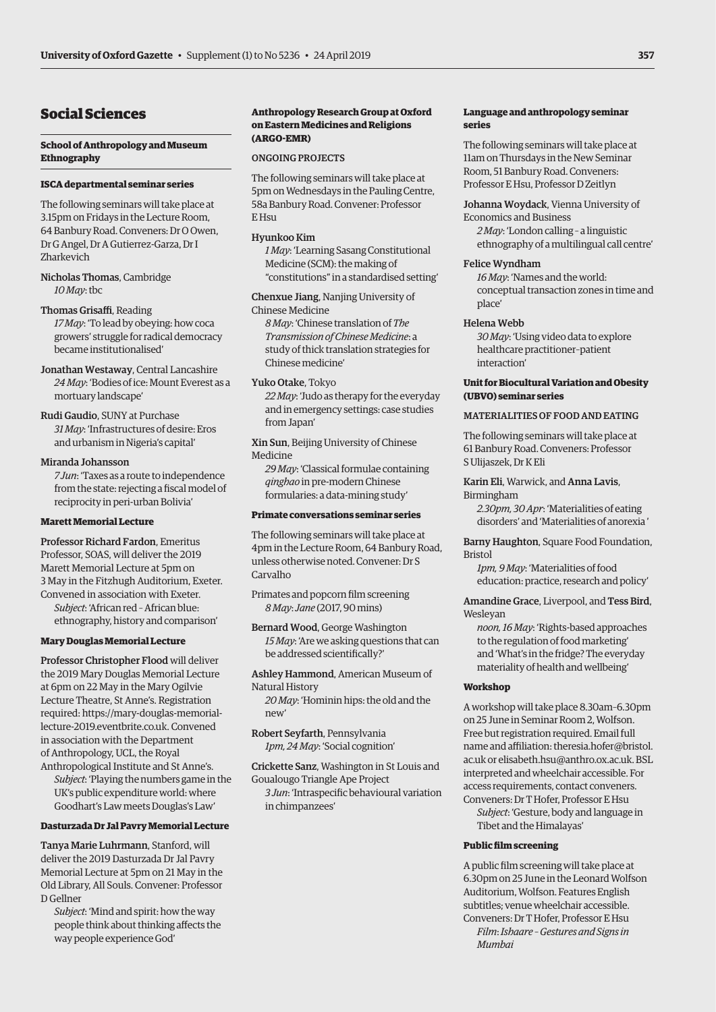# <span id="page-8-0"></span>Social Sciences

### **School of Anthropology and Museum Ethnography**

### **ISCA departmental seminar series**

The following seminars will take place at 3.15pm on Fridays in the Lecture Room, 64 Banbury Road. Conveners: Dr O Owen, Dr G Angel, Dr A Gutierrez-Garza, Dr I Zharkevich

Nicholas Thomas, Cambridge *10 May*: tbc

Thomas Grisaffi, Reading *17 May*: 'To lead by obeying: how coca growers' struggle for radical democracy became institutionalised'

Jonathan Westaway, Central Lancashire *24 May*: 'Bodies of ice: Mount Everest as a mortuary landscape'

Rudi Gaudio, SUNY at Purchase *31 May*: 'Infrastructures of desire: Eros and urbanism in Nigeria's capital'

### Miranda Johansson

*7 Jun*: 'Taxes as a route to independence from the state: rejecting a fiscal model of reciprocity in peri-urban Bolivia'

### **Marett Memorial Lecture**

Professor Richard Fardon, Emeritus Professor, SOAS, will deliver the 2019 Marett Memorial Lecture at 5pm on 3 May in the Fitzhugh Auditorium, Exeter. Convened in association with Exeter. *Subject*: 'African red – African blue:

ethnography, history and comparison'

### **Mary Douglas Memorial Lecture**

Professor Christopher Flood will deliver the 2019 Mary Douglas Memorial Lecture at 6pm on 22 May in the Mary Ogilvie Lecture Theatre, St Anne's. Registration [required: https://mary-douglas-memorial](https://mary-douglas-memorial-lecture-2019.eventbrite.co.uk)lecture-2019.eventbrite.co.uk. Convened in association with the Department of Anthropology, UCL, the Royal Anthropological Institute and St Anne's.

*Subject*: 'Playing the numbers game in the UK's public expenditure world: where Goodhart's Law meets Douglas's Law'

### **Dasturzada Dr Jal Pavry Memorial Lecture**

Tanya Marie Luhrmann, Stanford, will deliver the 2019 Dasturzada Dr Jal Pavry Memorial Lecture at 5pm on 21 May in the Old Library, All Souls. Convener: Professor D Gellner

*Subject*: 'Mind and spirit: how the way people think about thinking affects the way people experience God'

### **Anthropology Research Group at Oxford on Eastern Medicines and Religions (ARGO-EMR)**

### ONGOING PROJECTS

The following seminars will take place at 5pm on Wednesdays in the Pauling Centre, 58a Banbury Road. Convener: Professor E Hsu

### Hyunkoo Kim

*1 May*: 'Learning Sasang Constitutional Medicine (SCM): the making of "constitutions" in a standardised setting'

Chenxue Jiang, Nanjing University of Chinese Medicine

*8 May*: 'Chinese translation of *The Transmission of Chinese Medicine*: a study of thick translation strategies for Chinese medicine'

### Yuko Otake, Tokyo

*22 May*: 'Judo as therapy for the everyday and in emergency settings: case studies from Japan'

Xin Sun, Beijing University of Chinese Medicine

*29 May*: 'Classical formulae containing *qinghao* in pre-modern Chinese formularies: a data-mining study'

### **Primate conversations seminar series**

The following seminars will take place at 4pm in the Lecture Room, 64 Banbury Road, unless otherwise noted. Convener: Dr S Carvalho

Primates and popcorn film screening *8 May*: *Jane* (2017, 90 mins)

Bernard Wood, George Washington *15 May*: 'Are we asking questions that can be addressed scientifically?'

Ashley Hammond, American Museum of Natural History *20 May*: 'Hominin hips: the old and the

new'

Robert Seyfarth, Pennsylvania *1pm, 24 May*: 'Social cognition'

Crickette Sanz, Washington in St Louis and Goualougo Triangle Ape Project

*3 Jun*: 'Intraspecific behavioural variation in chimpanzees'

# **Language and anthropology seminar series**

The following seminars will take place at 11am on Thursdays in the New Seminar Room, 51 Banbury Road. Conveners: Professor E Hsu, Professor D Zeitlyn

Johanna Woydack, Vienna University of Economics and Business

*2 May*: 'London calling – a linguistic ethnography of a multilingual call centre'

### Felice Wyndham

*16 May*: 'Names and the world: conceptual transaction zones in time and place'

### Helena Webb

*30 May*: 'Using video data to explore healthcare practitioner–patient interaction'

# **Unit for Biocultural Variation and Obesity (UBVO) seminar series**

# MATERIALITIES OF FOOD AND EATING

The following seminars will take place at 61 Banbury Road. Conveners: Professor S Ulijaszek, Dr K Eli

# Karin Eli, Warwick, and Anna Lavis,

Birmingham

*2.30pm, 30 Apr*: 'Materialities of eating disorders' and 'Materialities of anorexia '

Barny Haughton, Square Food Foundation, Bristol

*1pm, 9 May*: 'Materialities of food education: practice, research and policy'

Amandine Grace, Liverpool, and Tess Bird, Wesleyan

*noon, 16 May*: 'Rights-based approaches to the regulation of food marketing' and 'What's in the fridge? The everyday materiality of health and wellbeing'

### **Workshop**

A workshop will take place 8.30am–6.30pm on 25 June in Seminar Room 2, Wolfson. Free but registration required. Email full name and affiliation[: theresia.hofer@bristol.](mailto:theresia.hofer@bristol.ac.uk) [ac.uk](mailto:theresia.hofer@bristol.ac.uk) or [elisabeth.hsu@anthro.ox.ac.uk. BS](mailto:elisabeth.hsu@anthro.ox.ac.uk)L interpreted and wheelchair accessible. For access requirements, contact conveners. Conveners: Dr T Hofer, Professor E Hsu

*Subject*: 'Gesture, body and language in Tibet and the Himalayas'

### **Public film screening**

A public film screening will take place at 6.30pm on 25 June in the Leonard Wolfson Auditorium, Wolfson. Features English subtitles; venue wheelchair accessible. Conveners: Dr T Hofer, Professor E Hsu *Film*: *Ishaare – Gestures and Signs in Mumbai*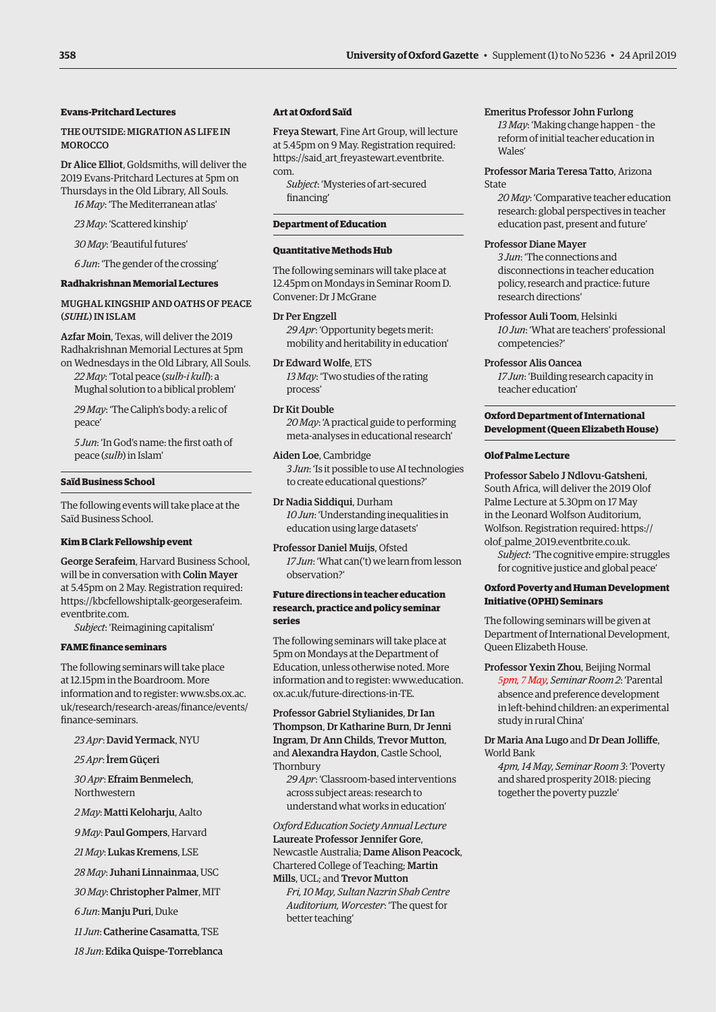# **Evans-Pritchard Lectures**

### THE OUTSIDE: MIGRATION AS LIFE IN **MOROCCO**

Dr Alice Elliot, Goldsmiths, will deliver the 2019 Evans-Pritchard Lectures at 5pm on Thursdays in the Old Library, All Souls. *16 May*: 'The Mediterranean atlas'

*23 May*: 'Scattered kinship'

*30 May*: 'Beautiful futures'

*6 Jun*: 'The gender of the crossing'

### **Radhakrishnan Memorial Lectures**

### MUGHAL KINGSHIP AND OATHS OF PEACE (*SUHL*) IN ISLAM

Azfar Moin, Texas, will deliver the 2019 Radhakrishnan Memorial Lectures at 5pm on Wednesdays in the Old Library, All Souls.

*22 May*: 'Total peace (*sulh-i kull*): a Mughal solution to a biblical problem'

*29 May*: 'The Caliph's body: a relic of peace'

*5 Jun*: 'In God's name: the first oath of peace (*sulh*) in Islam'

### **Saïd Business School**

The following events will take place at the Saïd Business School.

### **Kim B Clark Fellowship event**

George Serafeim, Harvard Business School, will be in conversation with Colin Mayer at 5.45pm on 2 May. Registration required: [https://kbcfellowshiptalk-georgeserafeim.](https://kbcfellowshiptalk-georgeserafeim.eventbrite.com) eventbrite.com.

*Subject*: 'Reimagining capitalism'

### **FAME finance seminars**

The following seminars will take place at 12.15pm in the Boardroom. More information and to register: www.sbs.ox.ac. [uk/research/research-areas/finance/events/](www.sbs.ox.ac.uk/research/research-areas/finance/events/finance-seminars) finance-seminars.

*23 Apr*: David Yermack, NYU

*25 Apr*: İrem Güçeri

*30 Apr*: Efraim Benmelech, Northwestern

*2 May*: Matti Keloharju, Aalto

*9 May*: Paul Gompers, Harvard

*21 May*: Lukas Kremens, LSE

*28 May*: Juhani Linnainmaa, USC

*30 May*: Christopher Palmer, MIT

*6 Jun*: Manju Puri, Duke

*11 Jun*: Catherine Casamatta, TSE

*18 Jun*: Edika Quispe-Torreblanca

### **Art at Oxford Saïd**

Freya Stewart, Fine Art Group, will lecture at 5.45pm on 9 May. Registration required: [https://said\\_art\\_freyastewart.eventbrite.](https://said_art_freyastewart.eventbrite.com) com.

*Subject*: 'Mysteries of art-secured financing'

### **Department of Education**

## **Quantitative Methods Hub**

The following seminars will take place at 12.45pm on Mondays in Seminar Room D. Convener: Dr J McGrane

### Dr Per Engzell

*29 Apr*: 'Opportunity begets merit: mobility and heritability in education'

Dr Edward Wolfe, ETS *13 May*: 'Two studies of the rating process'

Dr Kit Double

*20 May*: 'A practical guide to performing meta-analyses in educational research'

Aiden Loe, Cambridge *3 Jun*: 'Is it possible to use AI technologies to create educational questions?'

Dr Nadia Siddiqui, Durham *10 Jun*: 'Understanding inequalities in education using large datasets'

Professor Daniel Muijs, Ofsted *17 Jun*: 'What can('t) we learn from lesson observation?'

# **Future directions in teacher education research, practice and policy seminar series**

The following seminars will take place at 5pm on Mondays at the Department of Education, unless otherwise noted. More [information and to register: www.education.](www.education.ox.ac.uk/future-directions-in-TE) ox.ac.uk/future-directions-in-TE.

Professor Gabriel Stylianides, Dr Ian Thompson, Dr Katharine Burn, Dr Jenni Ingram, Dr Ann Childs, Trevor Mutton, and Alexandra Haydon, Castle School, Thornbury

*29 Apr*: 'Classroom-based interventions across subject areas: research to understand what works in education'

*Oxford Education Society Annual Lecture*  Laureate Professor Jennifer Gore, Newcastle Australia; Dame Alison Peacock, Chartered College of Teaching; Martin Mills, UCL; and Trevor Mutton

*Fri, 10 May, Sultan Nazrin Shah Centre Auditorium, Worcester*: 'The quest for better teaching'

# Emeritus Professor John Furlong

*13 May*: 'Making change happen – the reform of initial teacher education in Wales'

### Professor Maria Teresa Tatto, Arizona State

*20 May*: 'Comparative teacher education research: global perspectives in teacher education past, present and future'

### Professor Diane Mayer

*3 Jun*: 'The connections and disconnections in teacher education policy, research and practice: future research directions'

Professor Auli Toom, Helsinki *10 Jun*: 'What are teachers' professional competencies?'

Professor Alis Oancea

*17 Jun*: 'Building research capacity in teacher education'

# **Oxford Department of International Development (Queen Elizabeth House)**

### **Olof Palme Lecture**

Professor Sabelo J Ndlovu-Gatsheni, South Africa, will deliver the 2019 Olof Palme Lecture at 5.30pm on 17 May in the Leonard Wolfson Auditorium, Wolfson. Registration required: [https://](https://olof_palme_2019.eventbrite.co.uk) [olof\\_palme\\_2019.eventbrite.co.uk.](https://olof_palme_2019.eventbrite.co.uk)

*Subject*: 'The cognitive empire: struggles for cognitive justice and global peace'

# **Oxford Poverty and Human Development Initiative (OPHI) Seminars**

The following seminars will be given at Department of International Development, Queen Elizabeth House.

Professor Yexin Zhou, Beijing Normal *5pm, 7 May, Seminar Room 2*: 'Parental absence and preference development in left-behind children: an experimental study in rural China'

Dr Maria Ana Lugo and Dr Dean Jolliffe, World Bank

*4pm, 14 May, Seminar Room 3*: 'Poverty and shared prosperity 2018: piecing together the poverty puzzle'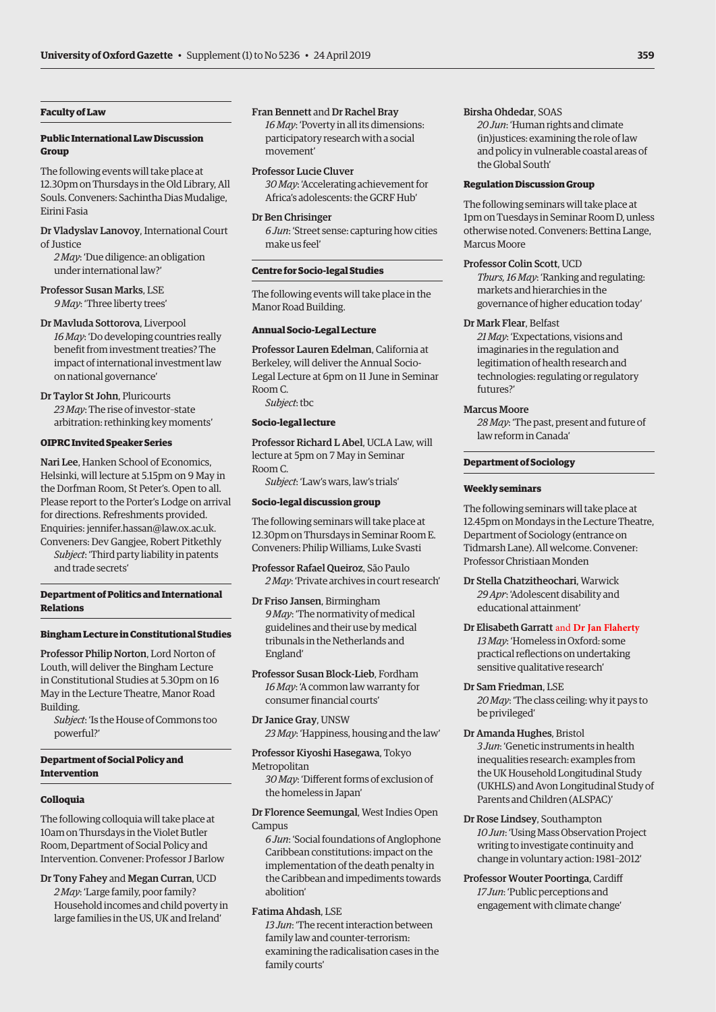### **Faculty of Law**

# **Public International Law Discussion Group**

The following events will take place at 12.30pm on Thursdays in the Old Library, All Souls. Conveners: Sachintha Dias Mudalige, Eirini Fasia

Dr Vladyslav Lanovoy, International Court of Justice

*2 May*: 'Due diligence: an obligation under international law?'

Professor Susan Marks, LSE *9 May*: 'Three liberty trees'

### Dr Mavluda Sottorova, Liverpool

*16 May*: 'Do developing countries really benefit from investment treaties? The impact of international investment law on national governance'

Dr Taylor St John, Pluricourts *23 May*: The rise of investor–state arbitration: rethinking key moments'

### **OIPRC Invited Speaker Series**

Nari Lee, Hanken School of Economics, Helsinki, will lecture at 5.15pm on 9 May in the Dorfman Room, St Peter's. Open to all. Please report to the Porter's Lodge on arrival for directions. Refreshments provided. Enquiries: [jennifer.hassan@law.ox.ac.uk.](mailto:jennifer.hassan@law.ox.ac.uk)  Conveners: Dev Gangjee, Robert Pitkethly

*Subject*: 'Third party liability in patents and trade secrets'

### **Department of Politics and International Relations**

### **Bingham Lecture in Constitutional Studies**

Professor Philip Norton, Lord Norton of Louth, will deliver the Bingham Lecture in Constitutional Studies at 5.30pm on 16 May in the Lecture Theatre, Manor Road Building.

*Subject*: 'Is the House of Commons too powerful?'

# **Department of Social Policy and Intervention**

### **Colloquia**

The following colloquia will take place at 10am on Thursdays in the Violet Butler Room, Department of Social Policy and Intervention. Convener: Professor J Barlow

Dr Tony Fahey and Megan Curran, UCD *2 May*: 'Large family, poor family? Household incomes and child poverty in large families in the US, UK and Ireland'

Fran Bennett and Dr Rachel Bray *16 May*: 'Poverty in all its dimensions: participatory research with a social movement'

### Professor Lucie Cluver

*30 May*: 'Accelerating achievement for Africa's adolescents: the GCRF Hub'

### Dr Ben Chrisinger

*6 Jun*: 'Street sense: capturing how cities make us feel'

### **Centre for Socio-legal Studies**

The following events will take place in the Manor Road Building.

### **Annual Socio-Legal Lecture**

Professor Lauren Edelman, California at Berkeley, will deliver the Annual Socio-Legal Lecture at 6pm on 11 June in Seminar Room C. *Subject*: tbc

# **Socio-legal lecture**

Professor Richard L Abel, UCLA Law, will lecture at 5pm on 7 May in Seminar Room C. *Subject*: 'Law's wars, law's trials'

### **Socio-legal discussion group**

The following seminars will take place at 12.30pm on Thursdays in Seminar Room E. Conveners: Philip Williams, Luke Svasti

Professor Rafael Queiroz, São Paulo *2 May*: 'Private archives in court research'

Dr Friso Jansen, Birmingham *9 May*: 'The normativity of medical guidelines and their use by medical tribunals in the Netherlands and England'

Professor Susan Block-Lieb, Fordham *16 May*: 'A common law warranty for consumer financial courts'

Dr Janice Gray, UNSW *23 May*: 'Happiness, housing and the law'

Professor Kiyoshi Hasegawa, Tokyo Metropolitan *30 May*: 'Different forms of exclusion of

the homeless in Japan'

Dr Florence Seemungal, West Indies Open Campus

*6 Jun*: 'Social foundations of Anglophone Caribbean constitutions: impact on the implementation of the death penalty in the Caribbean and impediments towards abolition'

### Fatima Ahdash, LSE

*13 Jun*: 'The recent interaction between family law and counter-terrorism: examining the radicalisation cases in the family courts'

### Birsha Ohdedar, SOAS

*20 Jun*: 'Human rights and climate (in)justices: examining the role of law and policy in vulnerable coastal areas of the Global South'

### **Regulation Discussion Group**

The following seminars will take place at 1pm on Tuesdays in Seminar Room D, unless otherwise noted. Conveners: Bettina Lange, Marcus Moore

### Professor Colin Scott, UCD

*Thurs, 16 May*: 'Ranking and regulating: markets and hierarchies in the governance of higher education today'

### Dr Mark Flear, Belfast

*21 May*: 'Expectations, visions and imaginaries in the regulation and legitimation of health research and technologies: regulating or regulatory futures?'

### Marcus Moore

*28 May*: 'The past, present and future of law reform in Canada'

### **Department of Sociology**

### **Weekly seminars**

The following seminars will take place at 12.45pm on Mondays in the Lecture Theatre, Department of Sociology (entrance on Tidmarsh Lane). All welcome. Convener: Professor Christiaan Monden

Dr Stella Chatzitheochari, Warwick *29 Apr*: 'Adolescent disability and educational attainment'

### Dr Elisabeth Garratt and **Dr Jan Flaherty**

*13 May*: 'Homeless in Oxford: some practical reflections on undertaking sensitive qualitative research'

### Dr Sam Friedman, LSE

*20 May*: 'The class ceiling: why it pays to be privileged'

- Dr Amanda Hughes, Bristol *3 Jun*: 'Genetic instruments in health inequalities research: examples from the UK Household Longitudinal Study (UKHLS) and Avon Longitudinal Study of Parents and Children (ALSPAC)'
- Dr Rose Lindsey, Southampton *10 Jun*: 'Using Mass Observation Project writing to investigate continuity and change in voluntary action: 1981–2012'
- Professor Wouter Poortinga, Cardiff *17 Jun*: 'Public perceptions and engagement with climate change'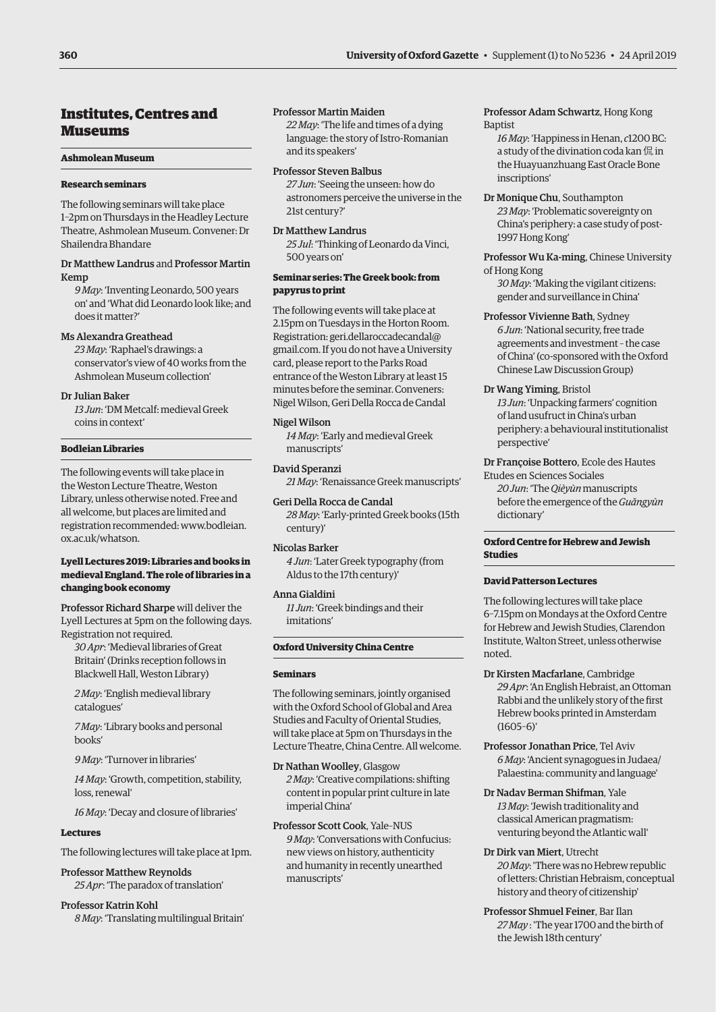# <span id="page-11-0"></span>Institutes, Centres and Museums

### **Ashmolean Museum**

### **Research seminars**

The following seminars will take place 1–2pm on Thursdays in the Headley Lecture Theatre, Ashmolean Museum. Convener: Dr Shailendra Bhandare

### Dr Matthew Landrus and Professor Martin Kemp

*9 May*: 'Inventing Leonardo, 500 years on' and 'What did Leonardo look like; and does it matter?'

### Ms Alexandra Greathead

*23 May*: 'Raphael's drawings: a conservator's view of 40 works from the Ashmolean Museum collection'

### Dr Julian Baker

*13 Jun*: 'DM Metcalf: medieval Greek coins in context'

### **Bodleian Libraries**

The following events will take place in the Weston Lecture Theatre, Weston Library, unless otherwise noted. Free and all welcome, but places are limited and [registration recommended: www.bodleian.](www.bodleian.ox.ac.uk/whatson) ox.ac.uk/whatson.

### **Lyell Lectures 2019: Libraries and books in medieval England. The role of libraries in a changing book economy**

Professor Richard Sharpe will deliver the Lyell Lectures at 5pm on the following days. Registration not required.

*30 Apr*: 'Medieval libraries of Great Britain' (Drinks reception follows in Blackwell Hall, Weston Library)

*2 May*: 'English medieval library catalogues'

*7 May*: 'Library books and personal books'

*9 May*: 'Turnover in libraries'

*14 May*: 'Growth, competition, stability, loss, renewal'

*16 May*: 'Decay and closure of libraries'

### **Lectures**

The following lectures will take place at 1pm.

Professor Matthew Reynolds *25 Apr*: 'The paradox of translation'

Professor Katrin Kohl *8 May*: 'Translating multilingual Britain'

### Professor Martin Maiden

*22 May*: 'The life and times of a dying language: the story of Istro-Romanian and its speakers'

### Professor Steven Balbus

*27 Jun*: 'Seeing the unseen: how do astronomers perceive the universe in the 21st century?'

# Dr Matthew Landrus

*25 Jul*: 'Thinking of Leonardo da Vinci, 500 years on'

### **Seminar series: The Greek book: from papyrus to print**

The following events will take place at 2.15pm on Tuesdays in the Horton Room. Registration: [geri.dellaroccadecandal@](mailto:geri.dellaroccadecandal@gmail.com) [gmail.com](mailto:geri.dellaroccadecandal@gmail.com). If you do not have a University card, please report to the Parks Road entrance of the Weston Library at least 15 minutes before the seminar. Conveners: Nigel Wilson, Geri Della Rocca de Candal

### Nigel Wilson

*14 May*: 'Early and medieval Greek manuscripts'

# David Speranzi

*21 May*: 'Renaissance Greek manuscripts'

Geri Della Rocca de Candal *28 May*: 'Early-printed Greek books (15th century)'

# Nicolas Barker

*4 Jun*: 'Later Greek typography (from Aldus to the 17th century)'

### Anna Gialdini

*11 Jun*: 'Greek bindings and their imitations'

### **Oxford University China Centre**

### **Seminars**

The following seminars, jointly organised with the Oxford School of Global and Area Studies and Faculty of Oriental Studies, will take place at 5pm on Thursdays in the Lecture Theatre, China Centre. All welcome.

Dr Nathan Woolley, Glasgow *2 May*: 'Creative compilations: shifting content in popular print culture in late imperial China'

Professor Scott Cook, Yale–NUS *9 May*: 'Conversations with Confucius: new views on history, authenticity and humanity in recently unearthed manuscripts'

# Professor Adam Schwartz, Hong Kong Baptist

*16 May*: 'Happiness in Henan, *c*1200 BC: a study of the divination coda kan 侃in the Huayuanzhuang East Oracle Bone inscriptions'

Dr Monique Chu, Southampton *23 May*: 'Problematic sovereignty on China's periphery: a case study of post-1997 Hong Kong'

Professor Wu Ka-ming, Chinese University of Hong Kong

*30 May*: 'Making the vigilant citizens: gender and surveillance in China'

# Professor Vivienne Bath, Sydney *6 Jun*: 'National security, free trade agreements and investment – the case of China' (co-sponsored with the Oxford Chinese Law Discussion Group)

# Dr Wang Yiming, Bristol

*13 Jun*: 'Unpacking farmers' cognition of land usufruct in China's urban periphery: a behavioural institutionalist perspective'

# Dr Françoise Bottero, Ecole des Hautes

Etudes en Sciences Sociales *20 Jun*: 'The *Qièyùn* manuscripts before the emergence of the *Guăngyùn* dictionary'

# **Oxford Centre for Hebrew and Jewish Studies**

# **David Patterson Lectures**

The following lectures will take place 6–7.15pm on Mondays at the Oxford Centre for Hebrew and Jewish Studies, Clarendon Institute, Walton Street, unless otherwise noted.

- Dr Kirsten Macfarlane, Cambridge *29 Apr*: 'An English Hebraist, an Ottoman Rabbi and the unlikely story of the first Hebrew books printed in Amsterdam  $(1605-6)'$
- Professor Jonathan Price, Tel Aviv *6 May*: 'Ancient synagogues in Judaea/ Palaestina: community and language'
- Dr Nadav Berman Shifman, Yale *13 May*: 'Jewish traditionality and classical American pragmatism: venturing beyond the Atlantic wall'
- Dr Dirk van Miert, Utrecht *20 May*: 'There was no Hebrew republic of letters: Christian Hebraism, conceptual history and theory of citizenship'
- Professor Shmuel Feiner, Bar Ilan *27 May* : 'The year 1700 and the birth of the Jewish 18th century'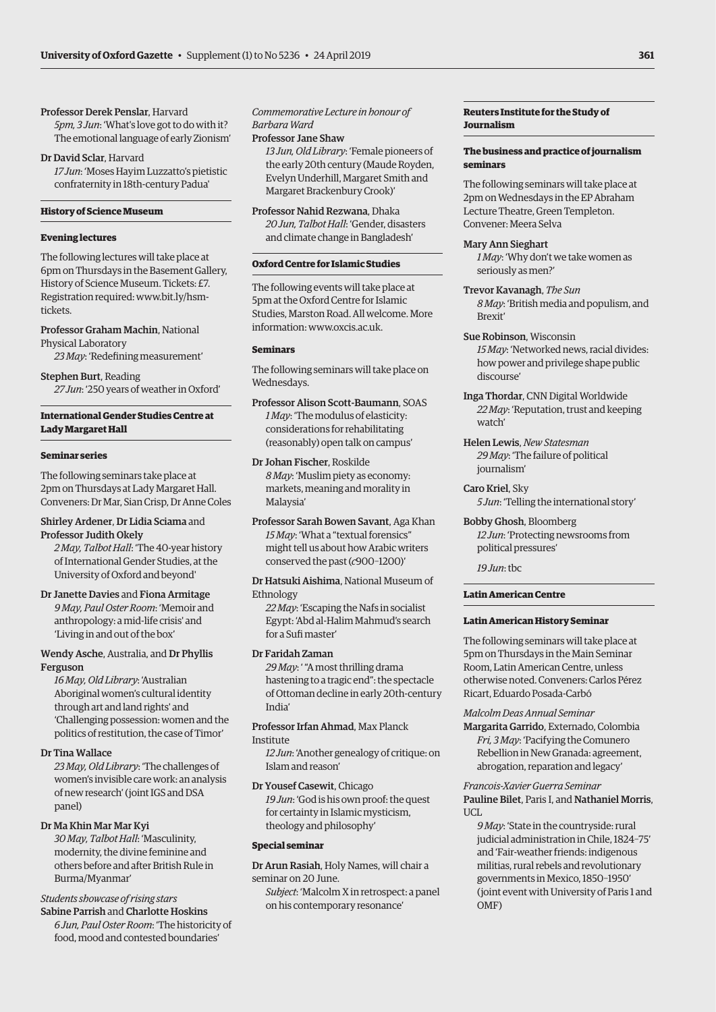### Professor Derek Penslar, Harvard

*5pm, 3 Jun*: 'What's love got to do with it? The emotional language of early Zionism'

Dr David Sclar, Harvard

*17 Jun*: 'Moses Hayim Luzzatto's pietistic confraternity in 18th-century Padua'

### **History of Science Museum**

### **Evening lectures**

The following lectures will take place at 6pm on Thursdays in the Basement Gallery, History of Science Museum. Tickets: £7. [Registration required: www.bit.ly/hsm](www.bit.ly/hsm-tickets)tickets.

Professor Graham Machin, National Physical Laboratory

*23 May*: 'Redefining measurement'

Stephen Burt, Reading *27 Jun*: '250 years of weather in Oxford'

# **International Gender Studies Centre at Lady Margaret Hall**

### **Seminar series**

The following seminars take place at 2pm on Thursdays at Lady Margaret Hall. Conveners: Dr Mar, Sian Crisp, Dr Anne Coles

### Shirley Ardener, Dr Lidia Sciama and Professor Judith Okely

*2 May, Talbot Hall*: 'The 40-year history of International Gender Studies, at the University of Oxford and beyond'

Dr Janette Davies and Fiona Armitage *9 May, Paul Oster Room*: 'Memoir and anthropology: a mid-life crisis' and 'Living in and out of the box'

### Wendy Asche, Australia, and Dr Phyllis Ferguson

*16 May, Old Library*: 'Australian Aboriginal women's cultural identity through art and land rights' and 'Challenging possession: women and the politics of restitution, the case of Timor'

### Dr Tina Wallace

*23 May, Old Library*: 'The challenges of women's invisible care work: an analysis of new research' (joint IGS and DSA panel)

### Dr Ma Khin Mar Mar Kyi

*30 May, Talbot Hall*: 'Masculinity, modernity, the divine feminine and others before and after British Rule in Burma/Myanmar'

# *Students showcase of rising stars*

Sabine Parrish and Charlotte Hoskins *6 Jun, Paul Oster Room*: 'The historicity of food, mood and contested boundaries'

# *Commemorative Lecture in honour of Barbara Ward*

Professor Jane Shaw

*13 Jun, Old Library*: 'Female pioneers of the early 20th century (Maude Royden, Evelyn Underhill, Margaret Smith and Margaret Brackenbury Crook)'

Professor Nahid Rezwana, Dhaka *20 Jun, Talbot Hall*: 'Gender, disasters and climate change in Bangladesh'

### **Oxford Centre for Islamic Studies**

The following events will take place at 5pm at the Oxford Centre for Islamic Studies, Marston Road. All welcome. More information: [www.oxcis.ac.uk.](http://www.oxcis.ac.uk)

### **Seminars**

The following seminars will take place on Wednesdays.

Professor Alison Scott-Baumann, SOAS *1 May*: 'The modulus of elasticity: considerations for rehabilitating (reasonably) open talk on campus'

Dr Johan Fischer, Roskilde *8 May*: 'Muslim piety as economy: markets, meaning and morality in Malaysia'

Professor Sarah Bowen Savant, Aga Khan *15 May*: 'What a "textual forensics" might tell us about how Arabic writers conserved the past (*c*900–1200)'

Dr Hatsuki Aishima, National Museum of Ethnology

*22 May*: 'Escaping the Nafs in socialist Egypt: 'Abd al-Halim Mahmud's search for a Sufi master'

### Dr Faridah Zaman

*29 May*: ' "A most thrilling drama hastening to a tragic end": the spectacle of Ottoman decline in early 20th-century India'

### Professor Irfan Ahmad, Max Planck Institute

*12 Jun*: 'Another genealogy of critique: on Islam and reason'

### Dr Yousef Casewit, Chicago *19 Jun*: 'God is his own proof: the quest for certainty in Islamic mysticism, theology and philosophy'

### **Special seminar**

Dr Arun Rasiah, Holy Names, will chair a seminar on 20 June.

*Subject*: 'Malcolm X in retrospect: a panel on his contemporary resonance'

# **Reuters Institute for the Study of Journalism**

# **The business and practice of journalism seminars**

The following seminars will take place at 2pm on Wednesdays in the EP Abraham Lecture Theatre, Green Templeton. Convener: Meera Selva

### Mary Ann Sieghart

*1 May*: 'Why don't we take women as seriously as men?'

- Trevor Kavanagh, *The Sun 8 May*: 'British media and populism, and Brexit'
- Sue Robinson, Wisconsin *15 May*: 'Networked news, racial divides: how power and privilege shape public discourse'
- Inga Thordar, CNN Digital Worldwide *22 May*: 'Reputation, trust and keeping watch'
- Helen Lewis, *New Statesman 29 May*: 'The failure of political journalism'
- Caro Kriel, Sky *5 Jun*: 'Telling the international story'
- Bobby Ghosh, Bloomberg *12 Jun*: 'Protecting newsrooms from political pressures'

*19 Jun*: tbc

### **Latin American Centre**

### **Latin American History Seminar**

The following seminars will take place at 5pm on Thursdays in the Main Seminar Room, Latin American Centre, unless otherwise noted. Conveners: Carlos Pérez Ricart, Eduardo Posada-Carbó

*Malcolm Deas Annual Seminar* Margarita Garrido, Externado, Colombia *Fri, 3 May*: 'Pacifying the Comunero Rebellion in New Granada: agreement, abrogation, reparation and legacy'

*Francois-Xavier Guerra Seminar* Pauline Bilet, Paris I, and Nathaniel Morris, UCL

*9 May*: 'State in the countryside: rural judicial administration in Chile, 1824–75' and 'Fair-weather friends: indigenous militias, rural rebels and revolutionary governments in Mexico, 1850–1950' (joint event with University of Paris 1 and OMF)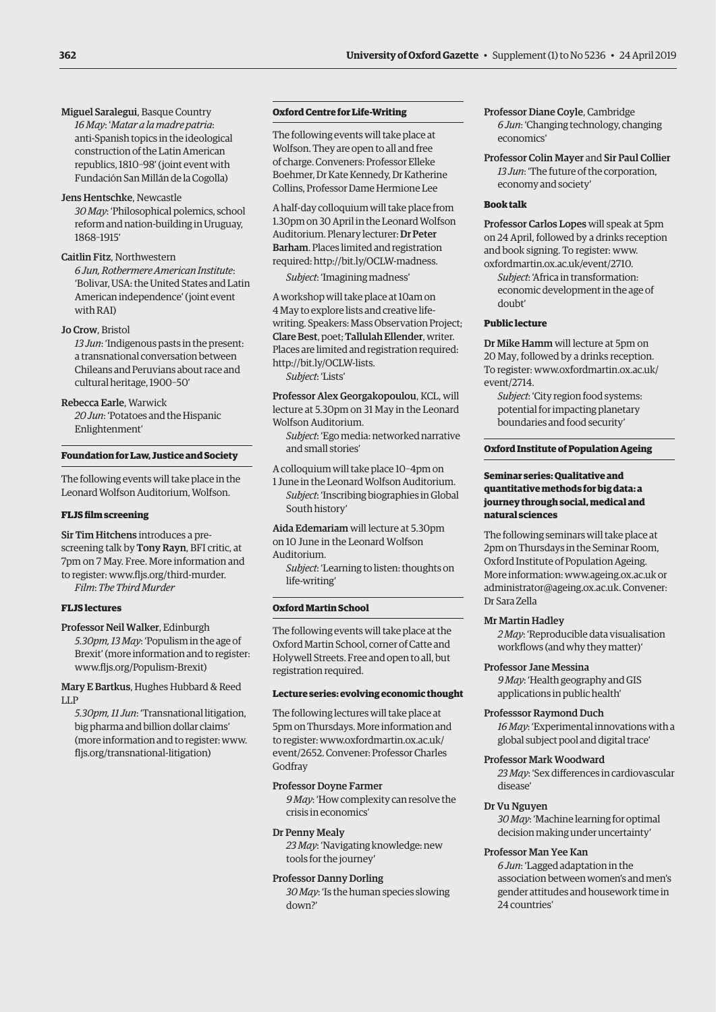Miguel Saralegui, Basque Country *16 May*: '*Matar a la madre patria*: anti-Spanish topics in the ideological construction of the Latin American republics, 1810–98' (joint event with Fundación San Millán de la Cogolla)

Jens Hentschke, Newcastle *30 May*: 'Philosophical polemics, school reform and nation-building in Uruguay, 1868–1915'

# Caitlin Fitz, Northwestern

*6 Jun, Rothermere American Institute*: 'Bolivar, USA: the United States and Latin American independence' (joint event with RAI)

### Jo Crow, Bristol

*13 Jun*: 'Indigenous pasts in the present: a transnational conversation between Chileans and Peruvians about race and cultural heritage, 1900–50'

### Rebecca Earle, Warwick

*20 Jun*: 'Potatoes and the Hispanic Enlightenment'

### **Foundation for Law, Justice and Society**

The following events will take place in the Leonard Wolfson Auditorium, Wolfson.

### **FLJS film screening**

Sir Tim Hitchens introduces a prescreening talk by Tony Rayn, BFI critic, at 7pm on 7 May. Free. More information and to register: [www.fljs.org/third-murder.](http://www.fljs.org/third-murder)  *Film*: *The Third Murder* 

### **FLJS lectures**

Professor Neil Walker, Edinburgh *5.30pm, 13 May*: 'Populism in the age of Brexit' (more information and to register: [www.fljs.org/Populism-Brexit\)](http://www.fljs.org/Populism-Brexit)

Mary E Bartkus, Hughes Hubbard & Reed LLP

*5.30pm, 11 Jun*: 'Transnational litigation, big pharma and billion dollar claims' (more information and to register: [www.](http://www.fljs.org/transnational-litigation) [fljs.org/transnational-litigation\)](http://www.fljs.org/transnational-litigation)

# **Oxford Centre for Life-Writing**

The following events will take place at Wolfson. They are open to all and free of charge. Conveners: Professor Elleke Boehmer, Dr Kate Kennedy, Dr Katherine Collins, Professor Dame Hermione Lee

A half-day colloquium will take place from 1.30pm on 30 April in the Leonard Wolfson Auditorium. Plenary lecturer: Dr Peter Barham. Places limited and registration required: [http://bit.ly/OCLW-madness.](http://bit.ly/OCLW-madness)

*Subject*: 'Imagining madness'

A workshop will take place at 10am on 4 May to explore lists and creative lifewriting. Speakers: Mass Observation Project; Clare Best, poet; Tallulah Ellender, writer. Places are limited and registration required: [http://bit.ly/OCLW-lists.](http://bit.ly/OCLW-lists)

*Subject*: 'Lists'

Professor Alex Georgakopoulou, KCL, will lecture at 5.30pm on 31 May in the Leonard Wolfson Auditorium.

*Subject*: 'Ego media: networked narrative and small stories'

A colloquium will take place 10–4pm on

1 June in the Leonard Wolfson Auditorium. *Subject*: 'Inscribing biographies in Global South history'

Aida Edemariam will lecture at 5.30pm on 10 June in the Leonard Wolfson

Auditorium.

*Subject*: 'Learning to listen: thoughts on life-writing'

### **Oxford Martin School**

The following events will take place at the Oxford Martin School, corner of Catte and Holywell Streets. Free and open to all, but registration required.

### **Lecture series: evolving economic thought**

The following lectures will take place at 5pm on Thursdays. More information and to register: www.oxfordmartin.ox.ac.uk/ [event/2652. Convener: Professor Charles](www.oxfordmartin.ox.ac.uk/event/2652)  Godfray

### Professor Doyne Farmer

*9 May*: 'How complexity can resolve the crisis in economics'

### Dr Penny Mealy

*23 May*: 'Navigating knowledge: new tools for the journey'

### Professor Danny Dorling

*30 May*: 'Is the human species slowing down?'

Professor Diane Coyle, Cambridge *6 Jun*: 'Changing technology, changing economics'

Professor Colin Mayer and Sir Paul Collier *13 Jun*: 'The future of the corporation, economy and society'

### **Book talk**

Professor Carlos Lopes will speak at 5pm on 24 April, followed by a drinks reception and book signing. To register: [www.](http://www.oxfordmartin.ox.ac.uk/event/2710) [oxfordmartin.ox.ac.uk/event/2710.](http://www.oxfordmartin.ox.ac.uk/event/2710)

*Subject*: 'Africa in transformation: economic development in the age of doubt'

### **Public lecture**

Dr Mike Hamm will lecture at 5pm on 20 May, followed by a drinks reception. [To register: www.oxfordmartin.ox.ac.uk/](www.oxfordmartin.ox.ac.uk/event/2714) event/2714.

*Subject*: 'City region food systems: potential for impacting planetary boundaries and food security'

### **Oxford Institute of Population Ageing**

### **Seminar series: Qualitative and quantitative methods for big data: a journey through social, medical and natural sciences**

The following seminars will take place at 2pm on Thursdays in the Seminar Room, Oxford Institute of Population Ageing. More information: [www.ageing.ox.ac.uk or](http://www.ageing.ox.ac.uk) [administrator@ageing.ox.ac.uk. Co](mailto:administrator@ageing.ox.ac.uk)nvener: Dr Sara Zella

### Mr Martin Hadley

*2 May*: 'Reproducible data visualisation workflows (and why they matter)'

### Professor Jane Messina

*9 May*: 'Health geography and GIS applications in public health'

### Professsor Raymond Duch

*16 May*: 'Experimental innovations with a global subject pool and digital trace'

### Professor Mark Woodward

*23 May*: 'Sex differences in cardiovascular disease'

### Dr Vu Nguyen

*30 May*: 'Machine learning for optimal decision making under uncertainty'

### Professor Man Yee Kan

*6 Jun*: 'Lagged adaptation in the association between women's and men's gender attitudes and housework time in 24 countries'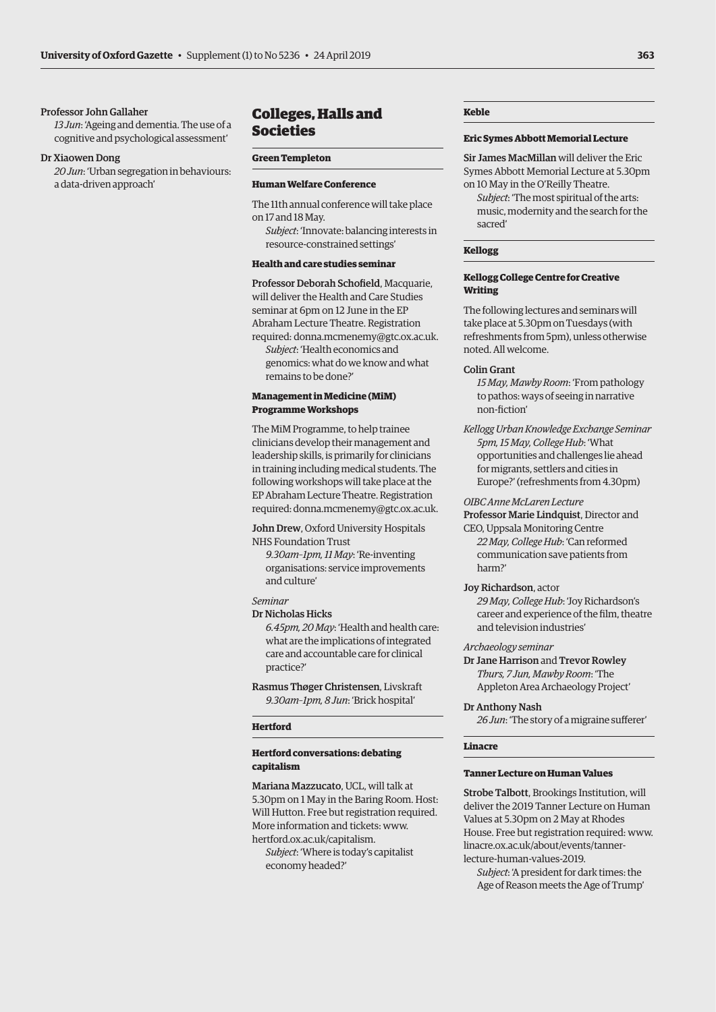### <span id="page-14-0"></span>Professor John Gallaher

*13 Jun*: 'Ageing and dementia. The use of a cognitive and psychological assessment'

### Dr Xiaowen Dong

*20 Jun*: 'Urban segregation in behaviours: a data-driven approach'

# Colleges, Halls and Societies

### **Green Templeton**

### **Human Welfare Conference**

The 11th annual conference will take place on 17 and 18 May.

*Subject*: 'Innovate: balancing interests in resource-constrained settings'

### **Health and care studies seminar**

Professor Deborah Schofield, Macquarie, will deliver the Health and Care Studies seminar at 6pm on 12 June in the EP Abraham Lecture Theatre. Registration required: [donna.mcmenemy@gtc.ox.ac.uk.](mailto:donna.mcmenemy@gtc.ox.ac.uk)

*Subject*: 'Health economics and genomics: what do we know and what remains to be done?'

### **Management in Medicine (MiM) Programme Workshops**

The MiM Programme, to help trainee clinicians develop their management and leadership skills, is primarily for clinicians in training including medical students. The following workshops will take place at the EP Abraham Lecture Theatre. Registration required: [donna.mcmenemy@gtc.ox.ac.uk.](mailto:donna.mcmenemy@gtc.ox.ac.uk)

John Drew, Oxford University Hospitals NHS Foundation Trust

*9.30am–1pm, 11 May*: 'Re-inventing organisations: service improvements and culture'

### *Seminar*

Dr Nicholas Hicks *6.45pm, 20 May*: 'Health and health care: what are the implications of integrated care and accountable care for clinical practice?'

Rasmus Thøger Christensen, Livskraft *9.30am–1pm, 8 Jun*: 'Brick hospital'

### **Hertford**

### **Hertford conversations: debating capitalism**

Mariana Mazzucato, UCL, will talk at 5.30pm on 1 May in the Baring Room. Host: Will Hutton. Free but registration required. More information and tickets: [www.](http://www.hertford.ox.ac.uk/capitalism) [hertford.ox.ac.uk/capitalism.](http://www.hertford.ox.ac.uk/capitalism)

*Subject*: 'Where is today's capitalist economy headed?'

### **Keble**

### **Eric Symes Abbott Memorial Lecture**

Sir James MacMillan will deliver the Eric Symes Abbott Memorial Lecture at 5.30pm on 10 May in the O'Reilly Theatre.

*Subject*: 'The most spiritual of the arts: music, modernity and the search for the sacred'

# **Kellogg**

### **Kellogg College Centre for Creative Writing**

The following lectures and seminars will take place at 5.30pm on Tuesdays (with refreshments from 5pm), unless otherwise noted. All welcome.

### Colin Grant

*15 May, Mawby Room*: 'From pathology to pathos: ways of seeing in narrative non-fiction'

*Kellogg Urban Knowledge Exchange Seminar 5pm, 15 May, College Hub*: 'What opportunities and challenges lie ahead for migrants, settlers and cities in Europe?' (refreshments from 4.30pm)

*OIBC Anne McLaren Lecture*

Professor Marie Lindquist, Director and CEO, Uppsala Monitoring Centre

*22 May, College Hub*: 'Can reformed communication save patients from harm?'

### Joy Richardson, actor

*29 May, College Hub*: 'Joy Richardson's career and experience of the film, theatre and television industries'

### *Archaeology seminar*

Dr Jane Harrison and Trevor Rowley *Thurs, 7 Jun, Mawby Room*: 'The Appleton Area Archaeology Project'

### Dr Anthony Nash

*26 Jun*: 'The story of a migraine sufferer'

### **Linacre**

### **Tanner Lecture on Human Values**

Strobe Talbott, Brookings Institution, will deliver the 2019 Tanner Lecture on Human Values at 5.30pm on 2 May at Rhodes [House. Free but registration required: www.](www.linacre.ox.ac.uk/about/events/tanner-lecture-human-values-2019) linacre.ox.ac.uk/about/events/tannerlecture-human-values-2019.

*Subject*: 'A president for dark times: the Age of Reason meets the Age of Trump'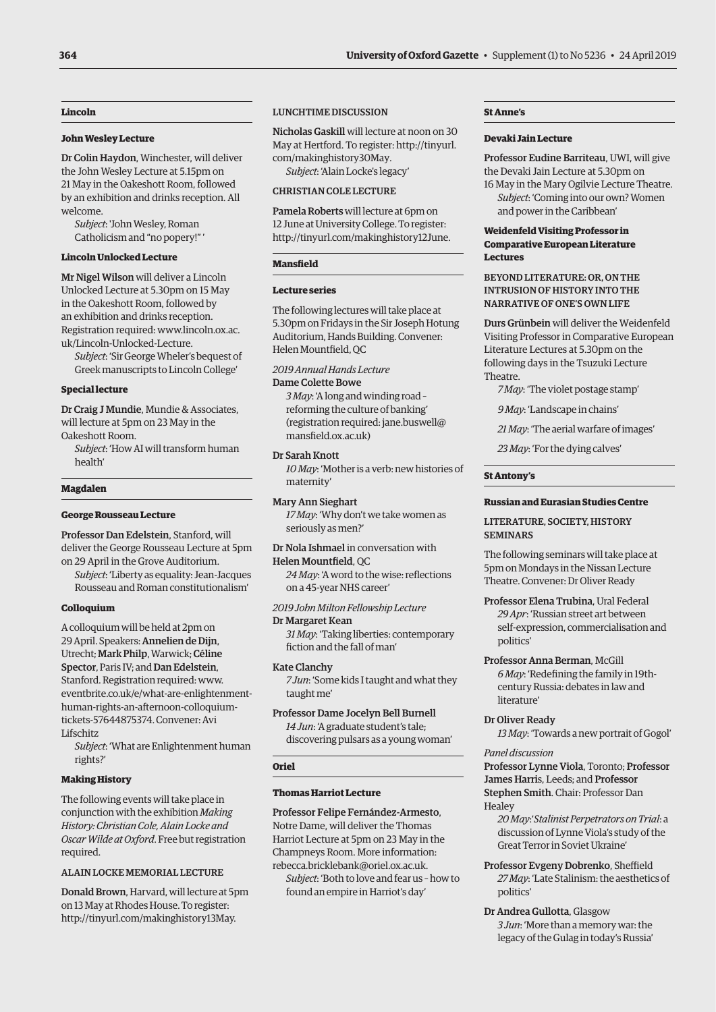### **364 University of Oxford Gazette** • Supplement (1) to No 5236 • 24 April 2019

# **Lincoln**

### **John Wesley Lecture**

Dr Colin Haydon, Winchester, will deliver the John Wesley Lecture at 5.15pm on 21 May in the Oakeshott Room, followed by an exhibition and drinks reception. All welcome.

*Subject*: 'John Wesley, Roman Catholicism and "no popery!" '

### **Lincoln Unlocked Lecture**

Mr Nigel Wilson will deliver a Lincoln Unlocked Lecture at 5.30pm on 15 May in the Oakeshott Room, followed by an exhibition and drinks reception. [Registration required: www.lincoln.ox.ac.](www.lincoln.ox.ac.uk/Lincoln-Unlocked-Lecture) uk/Lincoln-Unlocked-Lecture.

*Subject*: 'Sir George Wheler's bequest of Greek manuscripts to Lincoln College'

### **Special lecture**

Dr Craig J Mundie, Mundie & Associates, will lecture at 5pm on 23 May in the Oakeshott Room.

*Subject*: 'How AI will transform human health'

### **Magdalen**

### **George Rousseau Lecture**

Professor Dan Edelstein, Stanford, will deliver the George Rousseau Lecture at 5pm on 29 April in the Grove Auditorium.

*Subject*: 'Liberty as equality: Jean-Jacques Rousseau and Roman constitutionalism'

### **Colloquium**

A colloquium will be held at 2pm on 29 April. Speakers: Annelien de Dijn, Utrecht; Mark Philp, Warwick; Céline Spector, Paris IV; and Dan Edelstein, Stanford. Registration required: www. [eventbrite.co.uk/e/what-are-enlightenment](www.eventbrite.co.uk/e/what-are-englightenment-human-rights-an-afternoon-colloquium-tickets-57644875374)human-rights-an-afternoon-colloquiumtickets-57644875374. Convener: Avi Lifschitz

*Subject*: 'What are Enlightenment human rights?'

### **Making History**

The following events will take place in conjunction with the exhibition *Making History: Christian Cole, Alain Locke and Oscar Wilde at Oxford*. Free but registration required.

### ALAIN LOCKE MEMORIAL LECTURE

Donald Brown, Harvard, will lecture at 5pm on 13 May at Rhodes House. To register: [http://tinyurl.com/makinghistory13May.](http://tinyurl.com/makinghistory13May)

### LUNCHTIME DISCUSSION

Nicholas Gaskill will lecture at noon on 30 [May at Hertford. To register: http://tinyurl.](http://tinyurl.com/makinghistory30May) com/makinghistory30May. *Subject*: 'Alain Locke's legacy'

### CHRISTIAN COLE LECTURE

Pamela Roberts will lecture at 6pm on 12 June at University College. To register: [http://tinyurl.com/makinghistory12June.](http://tinyurl.com/makinghistory12June)

# **Mansfield**

### **Lecture series**

The following lectures will take place at 5.30pm on Fridays in the Sir Joseph Hotung Auditorium, Hands Building. Convener: Helen Mountfield, QC

*2019 Annual Hands Lecture*

### Dame Colette Bowe

*3 May*: 'A long and winding road – reforming the culture of banking' [\(registration required: jane.buswell@](mailto:jane.buswell@mansfield.ox.ac.uk) mansfield.ox.ac.uk)

### Dr Sarah Knott

*10 May*: 'Mother is a verb: new histories of maternity'

Mary Ann Sieghart *17 May*: 'Why don't we take women as seriously as men?'

Dr Nola Ishmael in conversation with Helen Mountfield, QC

*24 May*: 'A word to the wise: reflections on a 45-year NHS career'

*2019 John Milton Fellowship Lecture* Dr Margaret Kean *31 May*: 'Taking liberties: contemporary

fiction and the fall of man'

# Kate Clanchy

*7 Jun*: 'Some kids I taught and what they taught me'

Professor Dame Jocelyn Bell Burnell *14 Jun*: 'A graduate student's tale; discovering pulsars as a young woman'

### **Oriel**

### **Thomas Harriot Lecture**

Professor Felipe Fernández-Armesto, Notre Dame, will deliver the Thomas Harriot Lecture at 5pm on 23 May in the Champneys Room. More information: [rebecca.bricklebank@oriel.ox.ac.uk.](mailto:rebecca.bricklebank@oriel.ox.ac.uk)

*Subject*: 'Both to love and fear us – how to found an empire in Harriot's day'

# **St Anne's**

### **Devaki Jain Lecture**

Professor Eudine Barriteau, UWI, will give the Devaki Jain Lecture at 5.30pm on

16 May in the Mary Ogilvie Lecture Theatre. *Subject*: 'Coming into our own? Women and power in the Caribbean'

### **Weidenfeld Visiting Professor in Comparative European Literature Lectures**

### BEYOND LITERATURE: OR, ON THE INTRUSION OF HISTORY INTO THE NARRATIVE OF ONE'S OWN LIFE

Durs Grünbein will deliver the Weidenfeld Visiting Professor in Comparative European Literature Lectures at 5.30pm on the following days in the Tsuzuki Lecture Theatre.

*7 May*: 'The violet postage stamp'

*9 May*: 'Landscape in chains'

*21 May*: 'The aerial warfare of images'

*23 May*: 'For the dying calves'

### **St Antony's**

### **Russian and Eurasian Studies Centre**

### LITERATURE, SOCIETY, HISTORY **SEMINARS**

The following seminars will take place at 5pm on Mondays in the Nissan Lecture Theatre. Convener: Dr Oliver Ready

Professor Elena Trubina, Ural Federal *29 Apr*: 'Russian street art between self-expression, commercialisation and politics'

# Professor Anna Berman, McGill *6 May*: 'Redefining the family in 19th-

century Russia: debates in law and literature'

# Dr Oliver Ready

*13 May*: 'Towards a new portrait of Gogol'

### *Panel discussion*

Professor Lynne Viola, Toronto; Professor James Harris, Leeds; and Professor Stephen Smith. Chair: Professor Dan Healey

*20 May*:'*Stalinist Perpetrators on Trial*: a discussion of Lynne Viola's study of the Great Terror in Soviet Ukraine'

- Professor Evgeny Dobrenko, Sheffield *27 May*: 'Late Stalinism: the aesthetics of politics'
- Dr Andrea Gullotta, Glasgow *3 Jun*: 'More than a memory war: the legacy of the Gulag in today's Russia'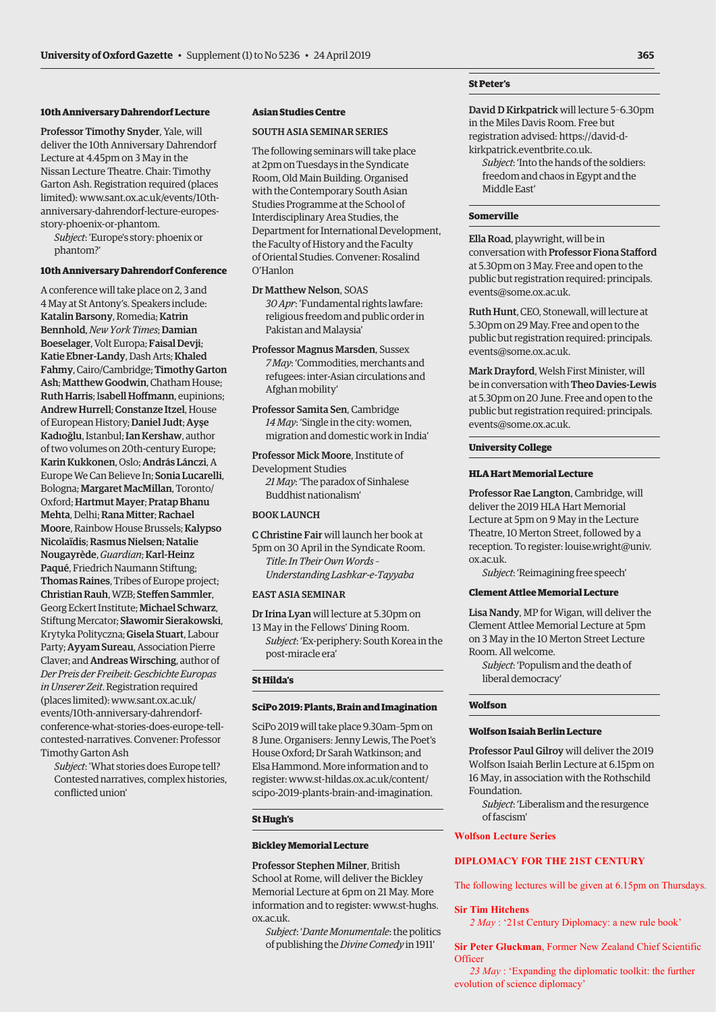# **10th Anniversary Dahrendorf Lecture**

Professor Timothy Snyder, Yale, will deliver the 10th Anniversary Dahrendorf Lecture at 4.45pm on 3 May in the Nissan Lecture Theatre. Chair: Timothy Garton Ash. Registration required (places limited): www.sant.ox.ac.uk/events/10th[anniversary-dahrendorf-lecture-europes](www.sant.ox.ac.uk/events/10th-anniversary-dahrendorf-lecture-europes-story-phoenix-or-phantom)story-phoenix-or-phantom.

*Subject*: 'Europe's story: phoenix or phantom?'

### **10th Anniversary Dahrendorf Conference**

A conference will take place on 2, 3 and 4 May at St Antony's. Speakers include: Katalin Barsony, Romedia; Katrin Bennhold, *New York Times*; Damian Boeselager, Volt Europa; Faisal Devji; Katie Ebner-Landy, Dash Arts; Khaled Fahmy, Cairo/Cambridge; Timothy Garton Ash; Matthew Goodwin, Chatham House; Ruth Harris; Isabell Hoffmann, eupinions; Andrew Hurrell; Constanze Itzel, House of European History; Daniel Judt; Ayşe Kadıoğlu, Istanbul; Ian Kershaw, author of two volumes on 20th-century Europe; Karin Kukkonen, Oslo; András Lánczi, A Europe We Can Believe In; Sonia Lucarelli, Bologna; Margaret MacMillan, Toronto/ Oxford; Hartmut Mayer; Pratap Bhanu Mehta, Delhi; Rana Mitter; Rachael Moore, Rainbow House Brussels; Kalypso Nicolaïdis; Rasmus Nielsen; Natalie Nougayrède, *Guardian*; Karl-Heinz Paqué, Friedrich Naumann Stiftung; Thomas Raines, Tribes of Europe project; Christian Rauh, WZB; Steffen Sammler, Georg Eckert Institute; Michael Schwarz, Stiftung Mercator; Sławomir Sierakowski, Krytyka Polityczna; Gisela Stuart, Labour Party; Ayyam Sureau, Association Pierre Claver; and Andreas Wirsching, author of *Der Preis der Freiheit: Geschichte Europas in Unserer Zeit*. Registration required (places limited): www.sant.ox.ac.uk/ events/10th-anniversary-dahrendorf[conference-what-stories-does-europe-tell](www.sant.ox.ac.uk/events/10th-anniversary-dahrendorf-conference-what-stories-does-europe-tell-contested-narratives)contested-narratives. Convener: Professor Timothy Garton Ash

*Subject*: 'What stories does Europe tell? Contested narratives, complex histories, conflicted union'

### **Asian Studies Centre**

### SOUTH ASIA SEMINAR SERIES

The following seminars will take place at 2pm on Tuesdays in the Syndicate Room, Old Main Building. Organised with the Contemporary South Asian Studies Programme at the School of Interdisciplinary Area Studies, the Department for International Development, the Faculty of History and the Faculty of Oriental Studies. Convener: Rosalind O'Hanlon

Dr Matthew Nelson, SOAS *30 Apr*: 'Fundamental rights lawfare: religious freedom and public order in Pakistan and Malaysia'

Professor Magnus Marsden, Sussex *7 May*: 'Commodities, merchants and refugees: inter-Asian circulations and Afghan mobility'

Professor Samita Sen, Cambridge *14 May*: 'Single in the city: women, migration and domestic work in India'

Professor Mick Moore, Institute of Development Studies *21 May*: 'The paradox of Sinhalese Buddhist nationalism'

### BOOK LAUNCH

C Christine Fair will launch her book at 5pm on 30 April in the Syndicate Room. *Title*: *In Their Own Words – Understanding Lashkar-e-Tayyaba*

### EAST ASIA SEMINAR

Dr Irina Lyan will lecture at 5.30pm on 13 May in the Fellows' Dining Room. *Subject*: 'Ex-periphery: South Korea in the post-miracle era'

### **St Hilda's**

### **SciPo 2019: Plants, Brain and Imagination**

SciPo 2019 will take place 9.30am–5pm on 8 June. Organisers: Jenny Lewis, The Poet's House Oxford; Dr Sarah Watkinson; and Elsa Hammond. More information and to register: www.st-hildas.ox.ac.uk/content/ [scipo-2019-plants-brain-and-imagination.](http://www.st-hildas.ox.ac.uk/content/scipo-2019-plants-brain-and-imagination)

### **St Hugh's**

### **Bickley Memorial Lecture**

Professor Stephen Milner, British School at Rome, will deliver the Bickley Memorial Lecture at 6pm on 21 May. More [information and to register: www.st-hughs.](http://www.st-hughs.ox.ac.uk) ox.ac.uk.

*Subject*: '*Dante Monumentale*: the politics of publishing the *Divine Comedy* in 1911'

### **St Peter's**

David D Kirkpatrick will lecture 5–6.30pm in the Miles Davis Room. Free but registration advised: https://david-dkirkpatrick.eventbrite.co.uk.

*Subject*: 'Into the hands of the soldiers: [freedom and chaos in Egypt and the](https://david-d-kirkpatrick.eventbrite.co.uk)  Middle East'

### **Somerville**

Ella Road, playwright, will be in conversation with Professor Fiona Stafford at 5.30pm on 3 May. Free and open to the public but registration required: principals. events@some.ox.ac.uk.

Ruth Hunt[, CEO, Stonewall, will lecture at](mailto:principals.events@some.ox.ac.uk)  5.30pm on 29 May. Free and open to the public but registration required: principals. events@some.ox.ac.uk.

Mark Drayford[, Welsh First Minister, will](mailto:principals.events@some.ox.ac.uk)  be in conversation with Theo Davies-Lewis at 5.30pm on 20 June. Free and open to the public but registration required: principals. events@some.ox.ac.uk.

### **[University College](mailto:principals.events@some.ox.ac.uk)**

### **HLA Hart Memorial Lecture**

Professor Rae Langton, Cambridge, will deliver the 2019 HLA Hart Memorial Lecture at 5pm on 9 May in the Lecture Theatre, 10 Merton Street, followed by a reception. To register: louise.wright@univ. ox.ac.uk.

*Subject*: 'Reimagining free speech'

### **[Clement Attlee Memorial Lecture](mailto:louise.wright@univ.ox.ac.uk)**

Lisa Nandy, MP for Wigan, will deliver the Clement Attlee Memorial Lecture at 5pm on 3 May in the 10 Merton Street Lecture Room. All welcome.

*Subject*: 'Populism and the death of liberal democracy'

### **Wolfson**

### **Wolfson Isaiah Berlin Lecture**

Professor Paul Gilroy will deliver the 2019 Wolfson Isaiah Berlin Lecture at 6.15pm on 16 May, in association with the Rothschild Foundation.

*Subject*: 'Liberalism and the resurgence of fascism'

### **Wolfson Lecture Series**

# **DIPLOMACY FOR THE 21ST CENTURY**

The following lectures will be given at 6.15pm on Thursdays.

### **Sir Tim Hitchens**

*2 May* : '21st Century Diplomacy: a new rule book'

**Sir Peter Gluckman**, Former New Zealand Chief Scientific **Officer** 

 *23 May* : 'Expanding the diplomatic toolkit: the further evolution of science diplomacy'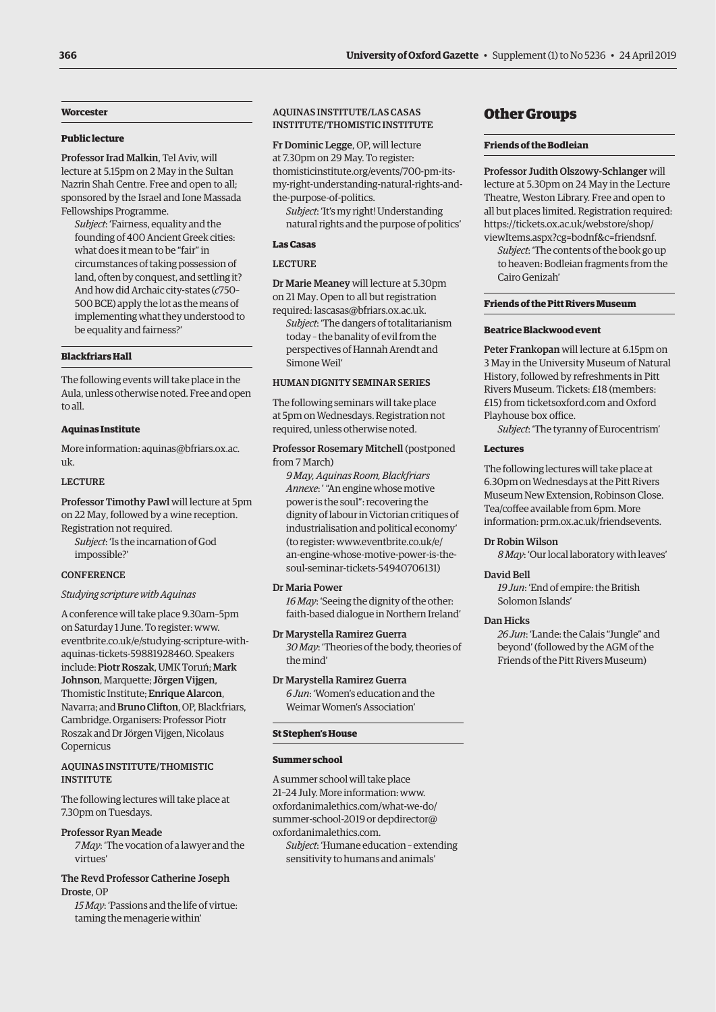### <span id="page-17-0"></span>**Worcester**

### **Public lecture**

Professor Irad Malkin, Tel Aviv, will lecture at 5.15pm on 2 May in the Sultan Nazrin Shah Centre. Free and open to all; sponsored by the Israel and Ione Massada Fellowships Programme.

*Subject*: 'Fairness, equality and the founding of 400 Ancient Greek cities: what does it mean to be "fair" in circumstances of taking possession of land, often by conquest, and settling it? And how did Archaic city-states (*c*750– 500 BCE) apply the lot as the means of implementing what they understood to be equality and fairness?'

### **Blackfriars Hall**

The following events will take place in the Aula, unless otherwise noted. Free and open to all.

### **Aquinas Institute**

[More information: aquinas@bfriars.ox.ac.](mailto:aquinas@bfriars.ox.ac.uk) uk.

### LECTURE

Professor Timothy Pawl will lecture at 5pm on 22 May, followed by a wine reception. Registration not required.

*Subject*: 'Is the incarnation of God impossible?'

### **CONFERENCE**

### *Studying scripture with Aquinas*

A conference will take place 9.30am–5pm on Saturday 1 June. To register: www. [eventbrite.co.uk/e/studying-scripture-with](www.eventbrite.co.uk/e/studying-scripture-with-aquinas-tickets-59881928460)aquinas-tickets-59881928460. Speakers include: Piotr Roszak, UMK Toruń; Mark Johnson, Marquette; Jörgen Vijgen, Thomistic Institute; Enrique Alarcon, Navarra; and Bruno Clifton, OP, Blackfriars, Cambridge. Organisers: Professor Piotr Roszak and Dr Jörgen Vijgen, Nicolaus Copernicus

### AQUINAS INSTITUTE/THOMISTIC **INSTITUTE**

The following lectures will take place at 7.30pm on Tuesdays.

Professor Ryan Meade *7 May*: 'The vocation of a lawyer and the virtues'

### The Revd Professor Catherine Joseph Droste, OP

*15 May*: 'Passions and the life of virtue: taming the menagerie within'

# AQUINAS INSTITUTE/LAS CASAS INSTITUTE/THOMISTIC INSTITUTE

Fr Dominic Legge, OP, will lecture at 7.30pm on 29 May. To register: thomisticinstitute.org/events/700-pm-its[my-right-understanding-natural-rights-and](http://thomisticinstitute.org/events/700-pm-its-my-right-understanding-natural-rights-and-the-purpose-of-politics)the-purpose-of-politics.

*Subject*: 'It's my right! Understanding natural rights and the purpose of politics'

### **Las Casas**

### LECTURE

Dr Marie Meaney will lecture at 5.30pm on 21 May. Open to all but registration required: [lascasas@bfriars.ox.ac.uk.](mailto:lascasas@bfriars.ox.ac.uk)

*Subject*: 'The dangers of totalitarianism today – the banality of evil from the perspectives of Hannah Arendt and Simone Weil'

# HUMAN DIGNITY SEMINAR SERIES

The following seminars will take place at 5pm on Wednesdays. Registration not required, unless otherwise noted.

### Professor Rosemary Mitchell (postponed from 7 March)

*9 May, Aquinas Room, Blackfriars Annexe*: ' "An engine whose motive power is the soul": recovering the dignity of labour in Victorian critiques of industrialisation and political economy' (to register: www.eventbrite.co.uk/e/ [an-engine-whose-motive-power-is-the](www.eventbrite.co.uk/e/an-engine-whose-motive-power-is-the-soul-seminar-tickets-54940706131)soul-seminar-tickets-54940706131)

### Dr Maria Power

*16 May*: 'Seeing the dignity of the other: faith-based dialogue in Northern Ireland'

### Dr Marystella Ramirez Guerra

*30 May*: 'Theories of the body, theories of the mind'

# Dr Marystella Ramirez Guerra

*6 Jun*: 'Women's education and the Weimar Women's Association'

### **St Stephen's House**

### **Summer school**

A summer school will take place 21–24 July. More information: www. [oxfordanimalethics.com/what-we-do/](www.oxfordanimalethics.com/what-we-do/summer-school-2019) summer-school-2019 or depdirector@ [oxfordanimalethics.com.](mailto:depdirector@oxfordanimalethics.com)

*Subject*: 'Humane education – extending sensitivity to humans and animals'

# Other Groups

### **Friends of the Bodleian**

Professor Judith Olszowy-Schlanger will lecture at 5.30pm on 24 May in the Lecture Theatre, Weston Library. Free and open to all but places limited. Registration required: https://tickets.ox.ac.uk/webstore/shop/ [viewItems.aspx?cg=bodnf&c=friendsnf.](https://tickets.ox.ac.uk/webstore/shop/viewItems.aspx?cg=bodnf&c=friendsnf)

*Subject*: 'The contents of the book go up to heaven: Bodleian fragments from the Cairo Genizah'

### **Friends of the Pitt Rivers Museum**

### **Beatrice Blackwood event**

Peter Frankopan will lecture at 6.15pm on 3 May in the University Museum of Natural History, followed by refreshments in Pitt Rivers Museum. Tickets: £18 (members: £15) from [ticketsoxford.com](http://ticketsoxford.com) and Oxford Playhouse box office.

*Subject*: 'The tyranny of Eurocentrism'

### **Lectures**

The following lectures will take place at 6.30pm on Wednesdays at the Pitt Rivers Museum New Extension, Robinson Close. Tea/coffee available from 6pm. More information: [prm.ox.ac.uk/friendsevents](https://prm.ox.ac.uk/friends).

### Dr Robin Wilson

*8 May*: 'Our local laboratory with leaves'

### David Bell

*19 Jun*: 'End of empire: the British Solomon Islands'

### Dan Hicks

*26 Jun*: 'Lande: the Calais "Jungle" and beyond' (followed by the AGM of the Friends of the Pitt Rivers Museum)